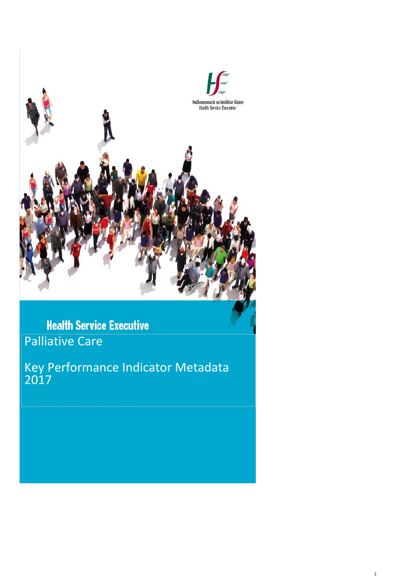

**Health Service Executive** Palliative Care

Key Performance Indicator Metadata 2017

1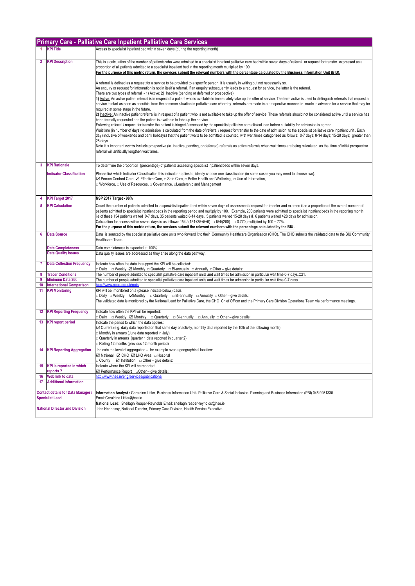|                 |                                                          | <b>Primary Care - Palliative Care Inpatient Palliative Care Services</b>                                                                                                                                                                                                                                                                                                                                                                                                                                                                                      |
|-----------------|----------------------------------------------------------|---------------------------------------------------------------------------------------------------------------------------------------------------------------------------------------------------------------------------------------------------------------------------------------------------------------------------------------------------------------------------------------------------------------------------------------------------------------------------------------------------------------------------------------------------------------|
|                 | <b>KPI Title</b>                                         | Access to specialist inpatient bed within seven days (during the reporting month)                                                                                                                                                                                                                                                                                                                                                                                                                                                                             |
| $\overline{2}$  | <b>KPI Description</b>                                   | This is a calculation of the number of patients who were admitted to a specialist inpatient palliative care bed within seven days of referral or request for transfer expressed as a                                                                                                                                                                                                                                                                                                                                                                          |
|                 |                                                          | proportion of all patients admitted to a specialist inpatient bed in the reporting month multiplied by 100.<br>For the purpose of this metric return, the services submit the relevant numbers with the percentage calculated by the Business Information Unit (BIU).                                                                                                                                                                                                                                                                                         |
|                 |                                                          | A referral is defined as a request for a service to be provided to a specific person. It is usually in writing but not necessarily so.                                                                                                                                                                                                                                                                                                                                                                                                                        |
|                 |                                                          | An enquiry or request for information is not in itself a referral. If an enquiry subsequently leads to a request for service, the latter is the referral.<br>There are two types of referral - 1) Active; 2) Inactive (pending or deferred or prospective).                                                                                                                                                                                                                                                                                                   |
|                 |                                                          | 1) Active: An active patient referral is in respect of a patient who is available to immediately take up the offer of service. The term active is used to distinguish referrals that request a<br>service to start as soon as possible from the common situation in palliative care whereby referrals are made in a prospective manner i.e. made in advance for a service that may be                                                                                                                                                                         |
|                 |                                                          | required at some stage in the future.<br>2) Inactive: An inactive patient referral is in respect of a patient who is not available to take up the offer of service. These referrals should not be considered active until a service has                                                                                                                                                                                                                                                                                                                       |
|                 |                                                          | been formally requested and the patient is available to take up the service.                                                                                                                                                                                                                                                                                                                                                                                                                                                                                  |
|                 |                                                          | Following referral / request for transfer the patient is triaged / assessed by the specialist palliative care clinical lead before suitability for admission is agreed.<br>Wait time (in number of days) to admission is calculated from the date of referral / request for transfer to the date of admission to the specialist palliative care inpatient unit. Each<br>day (inclusive of weekends and bank holidays) that the patient waits to be admitted is counted, with wait times categorised as follows: 0-7 days; 8-14 days; 15-28 days; greater than |
|                 |                                                          | 28 days.<br>Note it is important not to include prospective (ie. inactive, pending, or deferred) referrals as active referrals when wait times are being calculated as the time of initial prospective                                                                                                                                                                                                                                                                                                                                                        |
|                 |                                                          | referral will artificially lengthen wait times.                                                                                                                                                                                                                                                                                                                                                                                                                                                                                                               |
| 3               | <b>KPI Rationale</b>                                     | To determine the proportion (percentage) of patients accessing specialist inpatient beds within seven days.                                                                                                                                                                                                                                                                                                                                                                                                                                                   |
|                 | <b>Indicator Classification</b>                          | Please tick which Indicator Classification this indicator applies to, ideally choose one classification (in some cases you may need to choose two).<br>⊠ Person Centred Care, ⊠ Effective Care, □ Safe Care, □ Better Health and Wellbeing, □ Use of Information,                                                                                                                                                                                                                                                                                             |
|                 |                                                          | □ Workforce, □ Use of Resources, □ Governance, □Leadership and Management                                                                                                                                                                                                                                                                                                                                                                                                                                                                                     |
|                 | <b>KPI Target 2017</b>                                   | NSP 2017 Target - 98%                                                                                                                                                                                                                                                                                                                                                                                                                                                                                                                                         |
| 4<br>5          | <b>KPI Calculation</b>                                   |                                                                                                                                                                                                                                                                                                                                                                                                                                                                                                                                                               |
|                 |                                                          | Count the number of patients admitted to a specialist inpatient bed within seven days of assessment / request for transfer and express it as a proportion of the overall number of<br>patients admitted to specialist inpatient beds in the reporting period and multiply by 100. Example, 200 patients were admitted to specialist inpatient beds in the reporting month                                                                                                                                                                                     |
|                 |                                                          | .e.of these 154 patients waited 0-7 days, 35 patients waited 8-14 days, 5 patients waited 15-28 days & 6 patients waited >28 days for admission.<br>Calculation for access within seven days is as follows: $154/(154+35+5+6) \rightarrow 154/(200) \rightarrow 0.770$ , multiplied by $100 = 77\%$ .                                                                                                                                                                                                                                                         |
|                 |                                                          | For the purpose of this metric return, the services submit the relevant numbers with the percentage calculated by the BIU.                                                                                                                                                                                                                                                                                                                                                                                                                                    |
| 6               | <b>Data Source</b>                                       | Data is sourced by the specialist palliative care units who forward it to their Community Healthcare Organisation (CHO). The CHO submits the validated data to the BIU Community<br>Healthcare Team.                                                                                                                                                                                                                                                                                                                                                          |
|                 | <b>Data Completeness</b><br><b>Data Quality Issues</b>   | Data completeness is expected at 100%.<br>Data quality issues are addressed as they arise along the data pathway.                                                                                                                                                                                                                                                                                                                                                                                                                                             |
|                 |                                                          |                                                                                                                                                                                                                                                                                                                                                                                                                                                                                                                                                               |
| 7               | <b>Data Collection Frequency</b>                         | Indicate how often the data to support the KPI will be collected:<br>: Daily   □ Weekly ☑ Monthly □ Quarterly  □ Bi-annually □ Annually □Other – give details _                                                                                                                                                                                                                                                                                                                                                                                               |
| 8               | <b>Tracer Conditions</b>                                 | The number of people admitted to specialist palliative care inpatient units and wait times for admission in particular wait time 0-7 days.C21                                                                                                                                                                                                                                                                                                                                                                                                                 |
| 9               | <b>Minimum Data Set</b>                                  | The number of people admitted to specialist palliative care inpatient units and wait times for admission in particular wait time 0-7 days.                                                                                                                                                                                                                                                                                                                                                                                                                    |
| 10<br>11        | <b>International Comparison</b><br><b>KPI Monitoring</b> | http://www.ncpc.org.uk/mds<br>KPI will be monitored on a (please indicate below) basis:                                                                                                                                                                                                                                                                                                                                                                                                                                                                       |
|                 |                                                          | □ Daily □ Weekly ZMonthly □ Quarterly □ Bi-annually □ Annually □ Other – give details:                                                                                                                                                                                                                                                                                                                                                                                                                                                                        |
|                 |                                                          | The validated data is monitored by the National Lead for Palliative Care, the CHO Chief Officer and the Primary Care Division Operations Team via performance meetings.                                                                                                                                                                                                                                                                                                                                                                                       |
| 12              | <b>KPI Reporting Frequency</b>                           | Indicate how often the KPI will be reported:<br><b>Daily</b> □ Weekly ☑ Monthly □ Quarterly □ Bi-annually<br>$\Box$ Annually $\Box$ Other – give details:                                                                                                                                                                                                                                                                                                                                                                                                     |
| 13              | <b>KPI report period</b>                                 | Indicate the period to which the data applies:                                                                                                                                                                                                                                                                                                                                                                                                                                                                                                                |
|                 |                                                          | ⊠ Current (e.g. daily data reported on that same day of activity, monthly data reported by the 10th of the following month)<br>Monthly in arrears (June data reported in July)                                                                                                                                                                                                                                                                                                                                                                                |
|                 |                                                          | Quarterly in arrears (quarter 1 data reported in quarter 2)<br>Rolling 12 months (previous 12 month period)                                                                                                                                                                                                                                                                                                                                                                                                                                                   |
|                 | <b>KPI Reporting Aggregation</b>                         | Indicate the level of aggregation - for example over a geographical location:                                                                                                                                                                                                                                                                                                                                                                                                                                                                                 |
|                 |                                                          | ⊠ National ⊠ CHO ⊠ LHO Area □ Hospital<br>$\Box$ Institution $\Box$ Other – give details:<br>□ County                                                                                                                                                                                                                                                                                                                                                                                                                                                         |
| 15 <sub>1</sub> | <b>KPI</b> is reported in which<br>reports?              | Indicate where the KPI will be reported:<br>⊠ Performance Report  □ Other – give details:                                                                                                                                                                                                                                                                                                                                                                                                                                                                     |
| 16              | Web link to data                                         | http://www.hse.ie/eng/services/publications/                                                                                                                                                                                                                                                                                                                                                                                                                                                                                                                  |
| 17              | <b>Additional Information</b>                            |                                                                                                                                                                                                                                                                                                                                                                                                                                                                                                                                                               |
|                 | <b>Contact details for Data Manager</b>                  | Information Analyst: Geraldine Littler, Business Information Unit-Palliative Care & Social Inclusion, Planning and Business Information (PBI) 046 9251330                                                                                                                                                                                                                                                                                                                                                                                                     |
|                 | <b>Specialist Lead</b>                                   | Email:Geraldine.Littler@hse.ie<br>National Lead: Sheilagh Reaper-Reynolds Email: sheilagh.reaper-reynolds@hse.ie                                                                                                                                                                                                                                                                                                                                                                                                                                              |
|                 | <b>National Director and Division</b>                    | John Hennessy, National Director, Primary Care Division, Health Service Executive.                                                                                                                                                                                                                                                                                                                                                                                                                                                                            |
|                 |                                                          |                                                                                                                                                                                                                                                                                                                                                                                                                                                                                                                                                               |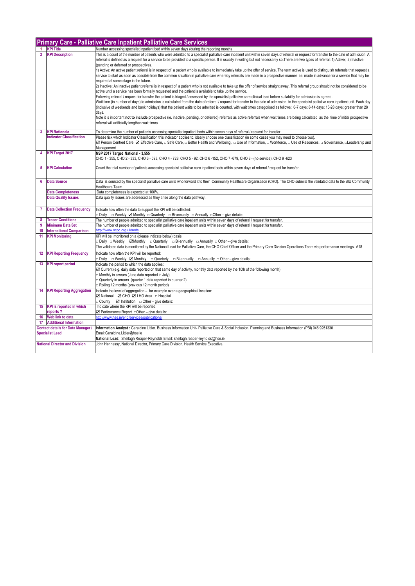|                                                                     |                                         | <b>Primary Care - Palliative Care Inpatient Palliative Care Services</b>                                                                                                                                                                                                                                                                                                                                                                                                          |
|---------------------------------------------------------------------|-----------------------------------------|-----------------------------------------------------------------------------------------------------------------------------------------------------------------------------------------------------------------------------------------------------------------------------------------------------------------------------------------------------------------------------------------------------------------------------------------------------------------------------------|
|                                                                     | <b>KPI Title</b>                        | Number accessing specialist inpatient bed within seven days (during the reporting month)                                                                                                                                                                                                                                                                                                                                                                                          |
| $\overline{2}$                                                      | <b>KPI Description</b>                  | This is a count of the number of patients who were admitted to a specialist palliative care inpatient unit within seven days of referral or request for transfer to the date of admission A<br>referral is defined as a request for a service to be provided to a specific person. It is usually in writing but not necessarily so. There are two types of referral: 1) Active; 2) Inactive<br>(pending or deferred or prospective).                                              |
|                                                                     |                                         | 1) Active: An active patient referral is in respect of a patient who is available to immediately take up the offer of service. The term active is used to distinguish referrals that request a<br>service to start as soon as possible from the common situation in palliative care whereby referrals are made in a prospective manner i.e. made in advance for a service that may be<br>required at some stage in the future.                                                    |
|                                                                     |                                         | 2) Inactive: An inactive patient referral is in respect of a patient who is not available to take up the offer of service straight away. This referral group should not be considered to be<br>active until a service has been formally requested and the patient is available to take up the service.<br>Following referral / request for transfer the patient is triaged / assessed by the specialist palliative care clinical lead before suitability for admission is agreed. |
|                                                                     |                                         | Wait time (in number of days) to admission is calculated from the date of referral / request for transfer to the date of admission to the specialist palliative care inpatient unit. Each day<br>(inclusive of weekends and bank holidays) that the patient waits to be admitted is counted, with wait times categorised as follows: 0-7 days; 8-14 days; 15-28 days; greater than 28<br>days.                                                                                    |
|                                                                     |                                         | Note it is important not to include prospective (ie. inactive, pending, or deferred) referrals as active referrals when wait times are being calculated as the time of initial prospective<br>referral will artificially lengthen wait times.                                                                                                                                                                                                                                     |
| 3                                                                   | <b>KPI Rationale</b>                    | To determine the number of patients accessing specialist inpatient beds within seven days of referral / request for transfer                                                                                                                                                                                                                                                                                                                                                      |
|                                                                     | <b>Indicator Classification</b>         | Please tick which Indicator Classification this indicator applies to, ideally choose one classification (in some cases you may need to choose two).<br>2 Person Centred Care, ⊠ Effective Care, □ Safe Care, □ Better Health and Wellbeing, □ Use of Information, □ Workforce, □ Use of Resources, □ Governance, □ Leadership and<br>Management                                                                                                                                   |
| 4                                                                   | <b>KPI Target 2017</b>                  | NSP 2017 Target National - 3,555<br>CHO 1 - 355, CHO 2 - 333, CHO 3 - 593, CHO 4 - 728, CHO 5 - 92, CHO 6 -152, CHO 7 -679, CHO 8 - (no service), CHO 9 -623                                                                                                                                                                                                                                                                                                                      |
| 5                                                                   | <b>KPI Calculation</b>                  | Count the total number of patients accessing specialist palliative care inpatient beds within seven days of referral / request for transfer.                                                                                                                                                                                                                                                                                                                                      |
| 6                                                                   | <b>Data Source</b>                      | Data is sourced by the specialist palliative care units who forward it to their Community Healthcare Organisation (CHO). The CHO submits the validated data to the BIU Community<br>Healthcare Team.                                                                                                                                                                                                                                                                              |
|                                                                     | <b>Data Completeness</b>                | Data completeness is expected at 100%                                                                                                                                                                                                                                                                                                                                                                                                                                             |
|                                                                     | <b>Data Quality Issues</b>              | Data quality issues are addressed as they arise along the data pathway.                                                                                                                                                                                                                                                                                                                                                                                                           |
| $\overline{7}$                                                      | <b>Data Collection Frequency</b>        | Indicate how often the data to support the KPI will be collected:<br><b>Daily Q</b> Weekly <b>Z</b> Monthly <b>Quarterly Q</b> Bi-annually <b>Q</b> Annually <b>Q</b> Other – give details:                                                                                                                                                                                                                                                                                       |
| 8                                                                   | <b>Tracer Conditions</b>                | The number of people admitted to specialist palliative care inpatient units within seven days of referral / request for transfer.                                                                                                                                                                                                                                                                                                                                                 |
| 9                                                                   | <b>Minimum Data Set</b>                 | The number of people admitted to specialist palliative care inpatient units within seven days of referral / request for transfer.                                                                                                                                                                                                                                                                                                                                                 |
| 10<br>11                                                            | <b>International Comparison</b>         | http://www.ncpc.org.uk/mds                                                                                                                                                                                                                                                                                                                                                                                                                                                        |
|                                                                     | <b>KPI Monitoring</b>                   | KPI will be monitored on a (please indicate below) basis:<br>$\Box$ Daily $\Box$ Weekly $\Box$ Monthly $\Box$ Quarterly $\Box$ Bi-annually $\Box$ Annually $\Box$ Other – give details:                                                                                                                                                                                                                                                                                           |
|                                                                     |                                         | The validated data is monitored by the National Lead for Palliative Care, the CHO Chief Officer and the Primary Care Division Operations Team via performance meetings. A18                                                                                                                                                                                                                                                                                                       |
| 12                                                                  | <b>KPI Reporting Frequency</b>          | Indicate how often the KPI will be reported:<br>□ Daily □ Weekly ■ Monthly □ Quarterly<br>□ Bi-annually<br>$\Box$ Annually $\Box$ Other – give details:                                                                                                                                                                                                                                                                                                                           |
| 13                                                                  | <b>KPI report period</b>                | Indicate the period to which the data applies:<br>☑ Current (e.g. daily data reported on that same day of activity, monthly data reported by the 10th of the following month)<br>Monthly in arrears (June data reported in July)<br>Quarterly in arrears (quarter 1 data reported in quarter 2)                                                                                                                                                                                   |
|                                                                     |                                         | Rolling 12 months (previous 12 month period)                                                                                                                                                                                                                                                                                                                                                                                                                                      |
| 14                                                                  | <b>KPI Reporting Aggregation</b>        | Indicate the level of aggregation - for example over a geographical location:<br>⊠ National ⊠ CHO ⊠ LHO Area □ Hospital                                                                                                                                                                                                                                                                                                                                                           |
|                                                                     |                                         | $\Box$ County $\Box$ Institution $\Box$ Other – give details:                                                                                                                                                                                                                                                                                                                                                                                                                     |
|                                                                     | 15 KPI is reported in which<br>reports? | Indicate where the KPI will be reported:<br>$\boxtimes$ Performance Report $\Box$ Other – give details:                                                                                                                                                                                                                                                                                                                                                                           |
| 16                                                                  | Web link to data                        | http://www.hse.je/eng/services/publications/                                                                                                                                                                                                                                                                                                                                                                                                                                      |
| 17 <sup>2</sup>                                                     | <b>Additional Information</b>           |                                                                                                                                                                                                                                                                                                                                                                                                                                                                                   |
| <b>Contact details for Data Manager /</b><br><b>Specialist Lead</b> |                                         | Information Analyst : Geraldine Littler, Business Information Unit- Palliative Care & Social Inclusion, Planning and Business Information (PBI) 046 9251330<br>Email:Geraldine.Littler@hse.ie<br>National Lead: Sheilagh Reaper-Reynolds Email: sheilagh.reaper-reynolds@hse.ie                                                                                                                                                                                                   |
|                                                                     | <b>National Director and Division</b>   | John Hennessy, National Director, Primary Care Division, Health Service Executive.                                                                                                                                                                                                                                                                                                                                                                                                |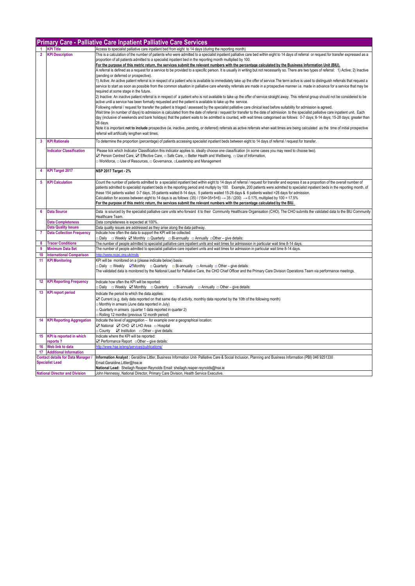|                 |                                           | Primary Care - Palliative Care Inpatient Palliative Care Services                                                                                                                                                                                                                        |
|-----------------|-------------------------------------------|------------------------------------------------------------------------------------------------------------------------------------------------------------------------------------------------------------------------------------------------------------------------------------------|
| $\mathbf{1}$    | <b>KPI Title</b>                          | Access to specialist palliative care inpatient bed from eight to 14 days (during the reporting month)                                                                                                                                                                                    |
| $\overline{2}$  | <b>KPI Description</b>                    | This is a calculation of the number of patients who were admitted to a specialist inpatient palliative care bed within eight to 14 days of referral or request for transfer expressed as a                                                                                               |
|                 |                                           | proportion of all patients admitted to a specialist inpatient bed in the reporting month multiplied by 100.                                                                                                                                                                              |
|                 |                                           | For the purpose of this metric return, the services submit the relevant numbers with the percentage calculated by the Business Information Unit (BIU).                                                                                                                                   |
|                 |                                           | A referral is defined as a request for a service to be provided to a specific person. It is usually in writing but not necessarily so. There are two types of referral: 1) Active; 2) Inactive                                                                                           |
|                 |                                           | (pending or deferred or prospective).                                                                                                                                                                                                                                                    |
|                 |                                           | 1) Active: An active patient referral is in respect of a patient who is available to immediately take up the offer of service. The term active is used to distinguish referrals that request a                                                                                           |
|                 |                                           | service to start as soon as possible from the common situation in palliative care whereby referrals are made in a prospective manner i.e. made in advance for a service that may be<br>required at some stage in the future.                                                             |
|                 |                                           | 2) Inactive: An inactive patient referral is in respect of a patient who is not available to take up the offer of service straight away. This referral group should not be considered to be                                                                                              |
|                 |                                           | active until a service has been formally requested and the patient is available to take up the service.                                                                                                                                                                                  |
|                 |                                           | Following referral / request for transfer the patient is triaged / assessed by the specialist palliative care clinical lead before suitability for admission is agreed.                                                                                                                  |
|                 |                                           | Wait time (in number of days) to admission is calculated from the date of referral / request for transfer to the date of admission to the specialist palliative care inpatient unit. Each                                                                                                |
|                 |                                           | day (inclusive of weekends and bank holidays) that the patient waits to be admitted is counted, with wait times categorised as follows: 0-7 days; 8-14 days; 15-28 days; greater than                                                                                                    |
|                 |                                           | 28 days.                                                                                                                                                                                                                                                                                 |
|                 |                                           | Note it is important not to include prospective (ie. inactive, pending, or deferred) referrals as active referrals when wait times are being calculated as the time of initial prospective                                                                                               |
|                 |                                           | referral will artificially lengthen wait times.                                                                                                                                                                                                                                          |
| 3               | <b>KPI Rationale</b>                      | To determine the proportion (percentage) of patients accessing specialist inpatient beds between eight to 14 days of referral / request for transfer.                                                                                                                                    |
|                 | <b>Indicator Classification</b>           | Please tick which Indicator Classification this indicator applies to, ideally choose one classification (in some cases you may need to choose two).                                                                                                                                      |
|                 |                                           | ⊠ Person Centred Care, ⊠ Effective Care, □ Safe Care, □ Better Health and Wellbeing, □ Use of Information,                                                                                                                                                                               |
|                 |                                           | □ Workforce, □ Use of Resources, □ Governance, □ Leadership and Management                                                                                                                                                                                                               |
| 4               | <b>KPI Target 2017</b>                    | <b>NSP 2017 Target - 2%</b>                                                                                                                                                                                                                                                              |
|                 |                                           |                                                                                                                                                                                                                                                                                          |
| 5               | <b>KPI Calculation</b>                    | Count the number of patients admitted to a specialist inpatient bed within eight to 14 days of referral / request for transfer and express it as a proportion of the overall number of                                                                                                   |
|                 |                                           | patients admitted to specialist inpatient beds in the reporting period and multiply by 100. Example, 200 patients were admitted to specialist inpatient beds in the reporting month, of                                                                                                  |
|                 |                                           | these 154 patients waited 0-7 days, 35 patients waited 8-14 days, 5 patients waited 15-28 days & 6 patients waited >28 days for admission.                                                                                                                                               |
|                 |                                           | Calculation for access between eight to 14 days is as follows: (35) / (154+35+5+6) $\rightarrow$ 35 / (200) $\rightarrow$ 0.175, multiplied by 100 = 17.5%<br>For the purpose of this metric return, the services submit the relevant numbers with the percentage calculated by the BIU. |
|                 |                                           |                                                                                                                                                                                                                                                                                          |
| 6               | <b>Data Source</b>                        | Data is sourced by the specialist palliative care units who forward it to their Community Healthcare Organisation (CHO). The CHO submits the validated data to the BIU Community                                                                                                         |
|                 | <b>Data Completeness</b>                  | Healthcare Team.<br>Data completeness is expected at 100%                                                                                                                                                                                                                                |
|                 | <b>Data Quality Issues</b>                | Data quality issues are addressed as they arise along the data pathway.                                                                                                                                                                                                                  |
| $\overline{7}$  | <b>Data Collection Frequency</b>          | Indicate how often the data to support the KPI will be collected:                                                                                                                                                                                                                        |
|                 |                                           | <b>Daily □ Weekly Z Monthly □ Quarterly □ Bi-annually □ Annually □ Other – give details:</b>                                                                                                                                                                                             |
| 8               | <b>Tracer Conditions</b>                  | The number of people admitted to specialist palliative care inpatient units and wait times for admisssion in particular wait time 8-14 days.                                                                                                                                             |
| 9               | <b>Minimum Data Set</b>                   | The number of people admitted to specialist palliative care inpatient units and wait times for admission in particular wait time 8-14 days.                                                                                                                                              |
| 10              | <b>International Comparison</b>           | http://www.ncpc.org.uk/mds                                                                                                                                                                                                                                                               |
| 11              | <b>KPI Monitoring</b>                     | KPI will be monitored on a (please indicate below) basis:                                                                                                                                                                                                                                |
|                 |                                           | □ Daily □ Weekly ZMonthly □ Quarterly □ Bi-annually □ Annually □ Other – give details:                                                                                                                                                                                                   |
|                 |                                           | The validated data is monitored by the National Lead for Palliative Care, the CHO Chief Officer and the Primary Care Division Operations Team via performance meetings.                                                                                                                  |
|                 |                                           |                                                                                                                                                                                                                                                                                          |
| 12 <sub>2</sub> | <b>KPI Reporting Frequency</b>            | Indicate how often the KPI will be reported:<br>Daily □ Weekly ☑ Monthly □ Quarterly □ Bi-annually □ Annually □ Other – give details:                                                                                                                                                    |
| 13              | <b>KPI report period</b>                  | Indicate the period to which the data applies:                                                                                                                                                                                                                                           |
|                 |                                           | ○ Current (e.g. daily data reported on that same day of activity, monthly data reported by the 10th of the following month)                                                                                                                                                              |
|                 |                                           | Monthly in arrears (June data reported in July)                                                                                                                                                                                                                                          |
|                 |                                           | Quarterly in arrears (quarter 1 data reported in quarter 2)                                                                                                                                                                                                                              |
|                 |                                           | Rolling 12 months (previous 12 month period)                                                                                                                                                                                                                                             |
| 14              | <b>KPI Reporting Aggregation</b>          | Indicate the level of aggregation - for example over a geographical location:                                                                                                                                                                                                            |
|                 |                                           | ⊠ National ⊠ CHO ⊠ LHO Area □ Hospital                                                                                                                                                                                                                                                   |
|                 |                                           | $\Box$ County $\Box$ Institution $\Box$ Other – give details:                                                                                                                                                                                                                            |
|                 | 15 KPI is reported in which               | Indicate where the KPI will be reported:                                                                                                                                                                                                                                                 |
|                 | reports?<br>16 Web link to data           | http://www.hse.je/eng/services/publications/                                                                                                                                                                                                                                             |
|                 | 17 Additional Information                 |                                                                                                                                                                                                                                                                                          |
|                 | <b>Contact details for Data Manager /</b> | Information Analyst: Geraldine Littler, Business Information Unit- Palliative Care & Social Inclusion, Planning and Business Information (PBI) 046 9251330                                                                                                                               |
|                 | <b>Specialist Lead</b>                    | Email:Geraldine.Littler@hse.ie                                                                                                                                                                                                                                                           |
|                 |                                           | National Lead: Sheilagh Reaper-Reynolds Email: sheilagh.reaper-reynolds@hse.ie                                                                                                                                                                                                           |
|                 | <b>National Director and Division</b>     | John Hennessy, National Director, Primary Care Division, Health Service Executive.                                                                                                                                                                                                       |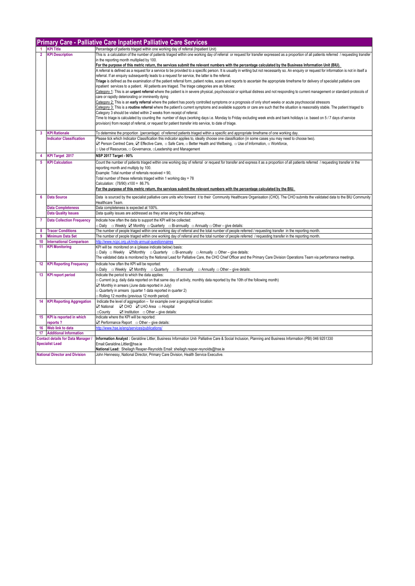|                 | <b>Primary Care - Palliative Care Inpatient Palliative Care Services</b> |                                                                                                                                                                                                                                                                                                                                                                                                                                                                                                                                                                                                                                                                                                           |  |
|-----------------|--------------------------------------------------------------------------|-----------------------------------------------------------------------------------------------------------------------------------------------------------------------------------------------------------------------------------------------------------------------------------------------------------------------------------------------------------------------------------------------------------------------------------------------------------------------------------------------------------------------------------------------------------------------------------------------------------------------------------------------------------------------------------------------------------|--|
|                 | <b>KPI Title</b>                                                         | Percentage of patients triaged within one working day of referral (Inpatient Unit)                                                                                                                                                                                                                                                                                                                                                                                                                                                                                                                                                                                                                        |  |
| $\mathbf{2}$    | <b>KPI Description</b>                                                   | This is a calculation of the number of patients triaged within one working day of referral or request for transfer expressed as a proportion of all patients referred / requesting transfer<br>in the reporting month multiplied by 100.<br>For the purpose of this metric return, the services submit the relevant numbers with the percentage calculated by the Business Information Unit (BIU).<br>A referral is defined as a request for a service to be provided to a specific person. It is usually in writing but not necessarily so. An enquiry or request for information is not in itself a<br>referral. If an enquiry subsequently leads to a request for service, the latter is the referral. |  |
|                 |                                                                          | Triage is defined as the examination of the patient referral form, patient notes, scans and reports to ascertain the appropriate timeframe for delivery of specialist palliative care<br>inpatient services to a patient. All patients are triaged. The triage categories are as follows:                                                                                                                                                                                                                                                                                                                                                                                                                 |  |
|                 |                                                                          | Category 1: This is an urgent referral where the patient is in severe physical, psychosocial or spiritual distress and not responding to current management or standard protocols of<br>care or rapidly deteriorating or imminently dying                                                                                                                                                                                                                                                                                                                                                                                                                                                                 |  |
|                 |                                                                          | Category 2: This is an early referral where the patient has poorly controlled symptoms or a prognosis of only short weeks or acute psychosocial stressors<br>Category 3: This is a routine referral where the patient's current symptoms and available supports or care are such that the situation is reasonably stable. The patient triaged to<br>Category 3 should be visited within 2 weeks from receipt of referral.                                                                                                                                                                                                                                                                                 |  |
|                 |                                                                          | Time to triage is calculated by counting the number of days (working days i.e. Monday to Friday excluding week ends and bank holidays i.e. based on 5/7 days of service<br>provision) from receipt of referral, or request for patient transfer into service, to date of triage.                                                                                                                                                                                                                                                                                                                                                                                                                          |  |
| 3               | <b>KPI Rationale</b>                                                     | To determine the proportion (percentage) of referred patients triaged within a specific and appropriate timeframe of one working day.                                                                                                                                                                                                                                                                                                                                                                                                                                                                                                                                                                     |  |
|                 | <b>Indicator Classification</b>                                          | Please tick which Indicator Classification this indicator applies to, ideally choose one classification (in some cases you may need to choose two).<br><b>Z</b> Person Centred Care, <b>Z</b> Effective Care, □ Safe Care, □ Better Health and Wellbeing, □ Use of Information, □ Workforce,<br>□ Use of Resources, □ Governance, □ Leadership and Management                                                                                                                                                                                                                                                                                                                                             |  |
| 4               | <b>KPI Target 2017</b>                                                   | NSP 2017 Target - 90%                                                                                                                                                                                                                                                                                                                                                                                                                                                                                                                                                                                                                                                                                     |  |
| 5               | <b>KPI Calculation</b>                                                   | Count the number of patients triaged within one working day of referral or request for transfer and express it as a proportion of all patients referred / requesting transfer in the<br>reporting month and multiply by 100.<br>Example: Total number of referrals received = 90,                                                                                                                                                                                                                                                                                                                                                                                                                         |  |
|                 |                                                                          | Total number of these referrals triaged within 1 working day = 78                                                                                                                                                                                                                                                                                                                                                                                                                                                                                                                                                                                                                                         |  |
|                 |                                                                          | Calculation: (78/90) x100 = 86.7%<br>For the purpose of this metric return, the services submit the relevant numbers with the percentage calculated by the BIU.                                                                                                                                                                                                                                                                                                                                                                                                                                                                                                                                           |  |
| 6               | <b>Data Source</b>                                                       | Data is sourced by the specialist palliative care units who forward it to their Community Healthcare Organisation (CHO). The CHO submits the validated data to the BIU Community<br>Healthcare Team.                                                                                                                                                                                                                                                                                                                                                                                                                                                                                                      |  |
|                 | <b>Data Completeness</b><br><b>Data Quality Issues</b>                   | Data completeness is expected at 100%                                                                                                                                                                                                                                                                                                                                                                                                                                                                                                                                                                                                                                                                     |  |
| 7               | <b>Data Collection Frequency</b>                                         | Data quality issues are addressed as they arise along the data pathway.<br>Indicate how often the data to support the KPI will be collected:                                                                                                                                                                                                                                                                                                                                                                                                                                                                                                                                                              |  |
|                 |                                                                          | <b>Daily □ Weekly ☑ Monthly □ Quarterly □ Bi-annually □ Annually □ Other – give details:</b>                                                                                                                                                                                                                                                                                                                                                                                                                                                                                                                                                                                                              |  |
| 8<br>9          | <b>Tracer Conditions</b><br><b>Minimum Data Set</b>                      | The number of people triaged within one working day of referral and the total number of people referred / requesting transfer in the reporting month.<br>The number of people triaged within one working day of referral and the total number of people referred / requesting transfer in the reporting month.                                                                                                                                                                                                                                                                                                                                                                                            |  |
| 10              | <b>International Comparison</b>                                          | http://www.ncpc.org.uk/mds-annual-questionnai                                                                                                                                                                                                                                                                                                                                                                                                                                                                                                                                                                                                                                                             |  |
| 11              | <b>KPI Monitoring</b>                                                    | KPI will be monitored on a (please indicate below) basis:<br>□ Daily □ Weekly ZMonthly □ Quarterly □ Bi-annually □ Annually □ Other – give details:<br>The validated data is monitored by the National Lead for Palliative Care, the CHO Chief Officer and the Primary Care Division Operations Team via performance meetings.                                                                                                                                                                                                                                                                                                                                                                            |  |
| 12 <sup>°</sup> | <b>KPI Reporting Frequency</b>                                           | Indicate how often the KPI will be reported:<br>$\Box$ Daily $\Box$ Weekly $\Box$ Monthly $\Box$ Quarterly $\Box$ Bi-annually $\Box$ Annually $\Box$ Other – give details:                                                                                                                                                                                                                                                                                                                                                                                                                                                                                                                                |  |
| 13              | <b>KPI report period</b>                                                 | Indicate the period to which the data applies:<br>□ Current (e.g. daily data reported on that same day of activity, monthly data reported by the 10th of the following month)<br>Monthly in arrears (June data reported in July)<br>$\Box$ Quarterly in arrears (quarter 1 data reported in quarter 2)<br>Rolling 12 months (previous 12 month period)                                                                                                                                                                                                                                                                                                                                                    |  |
| 14              | <b>KPI Reporting Aggregation</b>                                         | Indicate the level of aggregation - for example over a geographical location:<br>☑ CHO ☑ LHO Area □ Hospital<br><b>⊠</b> National<br>$\Box$ Institution $\Box$ Other – give details:<br>□County                                                                                                                                                                                                                                                                                                                                                                                                                                                                                                           |  |
| 15 <sub>1</sub> | <b>KPI</b> is reported in which<br>reports?                              | Indicate where the KPI will be reported:<br>$\boxtimes$ Performance Report $\Box$ Other – give details:                                                                                                                                                                                                                                                                                                                                                                                                                                                                                                                                                                                                   |  |
| 16              | Web link to data                                                         | http://www.hse.je/eng/services/publications/                                                                                                                                                                                                                                                                                                                                                                                                                                                                                                                                                                                                                                                              |  |
|                 | 17 Additional Information                                                |                                                                                                                                                                                                                                                                                                                                                                                                                                                                                                                                                                                                                                                                                                           |  |
|                 | <b>Contact details for Data Manager /</b><br><b>Specialist Lead</b>      | Information Analyst: Geraldine Littler, Business Information Unit- Palliative Care & Social Inclusion, Planning and Business Information (PBI) 046 9251330<br>Email:Geraldine.Littler@hse.ie<br>National Lead: Sheilagh Reaper-Reynolds Email: sheilagh.reaper-reynolds@hse.ie                                                                                                                                                                                                                                                                                                                                                                                                                            |  |
|                 | <b>National Director and Division</b>                                    | John Hennessy, National Director, Primary Care Division, Health Service Executive.                                                                                                                                                                                                                                                                                                                                                                                                                                                                                                                                                                                                                        |  |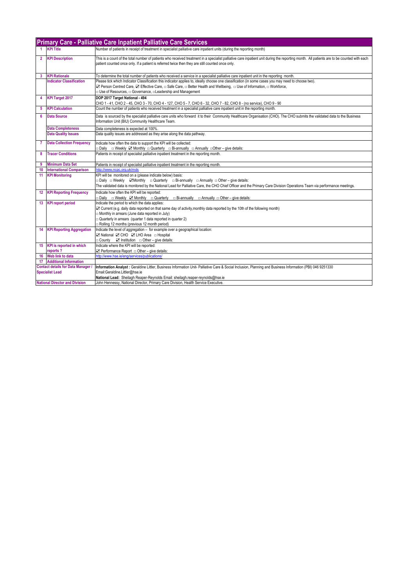|                                       | <b>Primary Care - Palliative Care Inpatient Palliative Care Services</b> |                                                                                                                                                                                                                                                                                                                                                  |  |  |
|---------------------------------------|--------------------------------------------------------------------------|--------------------------------------------------------------------------------------------------------------------------------------------------------------------------------------------------------------------------------------------------------------------------------------------------------------------------------------------------|--|--|
| 1.                                    | <b>KPI Title</b>                                                         | Number of patients in receipt of treatment in specialist palliative care inpatient units (during the reporting month)                                                                                                                                                                                                                            |  |  |
| $\mathbf{2}$                          | <b>KPI Description</b>                                                   | This is a count of the total number of patients who received treatment in a specialist palliative care inpatient unit during the reporting month. All patients are to be counted with each<br>patient counted once only. If a patient is referred twice then they are still counted once only.                                                   |  |  |
| 3                                     | <b>KPI Rationale</b>                                                     | To determine the total number of patients who received a service in a specialist palliative care inpatient unit in the reporting month.                                                                                                                                                                                                          |  |  |
|                                       | <b>Indicator Classification</b>                                          | Please tick which Indicator Classification this indicator applies to, ideally choose one classification (in some cases you may need to choose two).<br>27 Person Centred Care, 2 Effective Care, □ Safe Care, □ Better Health and Wellbeing, □ Use of Information, □ Workforce,<br>□ Use of Resources. □ Governance. □ Leadership and Management |  |  |
| 4                                     | <b>KPI Target 2017</b>                                                   | DOP 2017 Target National - 494<br>CHO 1 - 41, CHO 2 - 45, CHO 3 - 70, CHO 4 - 127, CHO 5 - 7, CHO 6 - 32, CHO 7 - 82, CHO 8 - (no service), CHO 9 - 90                                                                                                                                                                                           |  |  |
| 5                                     | <b>KPI Calculation</b>                                                   | Count the number of patients who received treatment in a specialist palliative care inpatient unit in the reporting month.                                                                                                                                                                                                                       |  |  |
|                                       |                                                                          |                                                                                                                                                                                                                                                                                                                                                  |  |  |
| 6                                     | <b>Data Source</b>                                                       | Data is sourced by the specialist palliative care units who forward it to their Community Healthcare Organisation (CHO). The CHO submits the validated data to the Business<br>Information Unit (BIU) Community Healthcare Team.                                                                                                                 |  |  |
|                                       | <b>Data Completeness</b>                                                 | Data completeness is expected at 100%.                                                                                                                                                                                                                                                                                                           |  |  |
|                                       | <b>Data Quality Issues</b>                                               | Data quality issues are addressed as they arise along the data pathway.                                                                                                                                                                                                                                                                          |  |  |
| $7^{\circ}$                           | <b>Data Collection Frequency</b>                                         | Indicate how often the data to support the KPI will be collected:<br>□ Daily □ Weekly Z Monthly □ Quarterly □ Bi-annually □ Annually □ Other – give details:                                                                                                                                                                                     |  |  |
| 8                                     | <b>Tracer Conditions</b>                                                 | Patients in receipt of specialist palliative inpatient treatment in the reporting month.                                                                                                                                                                                                                                                         |  |  |
|                                       |                                                                          |                                                                                                                                                                                                                                                                                                                                                  |  |  |
| 9                                     | <b>Minimum Data Set</b>                                                  | Patients in receipt of specialist palliative inpatient treatment in the reporting month.                                                                                                                                                                                                                                                         |  |  |
| 10                                    | <b>International Comparison</b>                                          | http://www.ncpc.org.uk/mds                                                                                                                                                                                                                                                                                                                       |  |  |
| 11                                    | <b>KPI Monitoring</b>                                                    | KPI will be monitored on a (please indicate below) basis:                                                                                                                                                                                                                                                                                        |  |  |
|                                       |                                                                          | $\Box$ Daily $\Box$ Weekly $\Box$ Monthly $\Box$ Quarterly $\Box$ Bi-annually $\Box$ Annually $\Box$ Other – give details:                                                                                                                                                                                                                       |  |  |
|                                       |                                                                          | The validated data is monitored by the National Lead for Palliative Care, the CHO Chief Officer and the Primary Care Division Operations Team via performance meetings.                                                                                                                                                                          |  |  |
| 12 <sup>°</sup>                       | <b>KPI Reporting Frequency</b>                                           | Indicate how often the KPI will be reported:                                                                                                                                                                                                                                                                                                     |  |  |
| 13 <sup>°</sup>                       | <b>KPI</b> report period                                                 | $\Box$ Daily $\Box$ Weekly $\Box$ Monthly $\Box$ Quarterly $\Box$ Bi-annually $\Box$ Annually $\Box$ Other – give details:<br>Indicate the period to which the data applies:                                                                                                                                                                     |  |  |
|                                       |                                                                          | ☑ Current (e.g. daily data reported on that same day of activity monthly data reported by the 10th of the following month)                                                                                                                                                                                                                       |  |  |
|                                       |                                                                          | Monthly in arrears (June data reported in July)                                                                                                                                                                                                                                                                                                  |  |  |
|                                       |                                                                          | $\Box$ Quarterly in arrears (quarter 1 data reported in quarter 2)                                                                                                                                                                                                                                                                               |  |  |
|                                       |                                                                          | Rolling 12 months (previous 12 month period)                                                                                                                                                                                                                                                                                                     |  |  |
|                                       | <b>14 KPI Reporting Aggregation</b>                                      | Indicate the level of aggregation - for example over a geographical location:                                                                                                                                                                                                                                                                    |  |  |
|                                       |                                                                          | ⊠ National ⊠ CHO ⊠ LHO Area □ Hospital                                                                                                                                                                                                                                                                                                           |  |  |
|                                       |                                                                          | $\Box$ County $\Box$ Institution $\Box$ Other – give details:                                                                                                                                                                                                                                                                                    |  |  |
|                                       | 15 KPI is reported in which                                              | Indicate where the KPI will be reported:                                                                                                                                                                                                                                                                                                         |  |  |
|                                       | reports?                                                                 | $\boxtimes$ Performance Report $\Box$ Other - give details:                                                                                                                                                                                                                                                                                      |  |  |
|                                       | 16 Web link to data                                                      | http://www.hse.ie/eng/services/publications/                                                                                                                                                                                                                                                                                                     |  |  |
|                                       | 17 Additional Information                                                |                                                                                                                                                                                                                                                                                                                                                  |  |  |
|                                       | <b>Contact details for Data Manager /</b>                                | Information Analyst: Geraldine Littler, Business Information Unit-Palliative Care & Social Inclusion, Planning and Business Information (PBI) 046 9251330                                                                                                                                                                                        |  |  |
| <b>Specialist Lead</b>                |                                                                          | Email:Geraldine.Littler@hse.ie<br>National Lead: Sheilagh Reaper-Reynolds Email: sheilagh.reaper-reynolds@hse.ie                                                                                                                                                                                                                                 |  |  |
| <b>National Director and Division</b> |                                                                          | John Hennessy, National Director, Primary Care Division, Health Service Executive.                                                                                                                                                                                                                                                               |  |  |
|                                       |                                                                          |                                                                                                                                                                                                                                                                                                                                                  |  |  |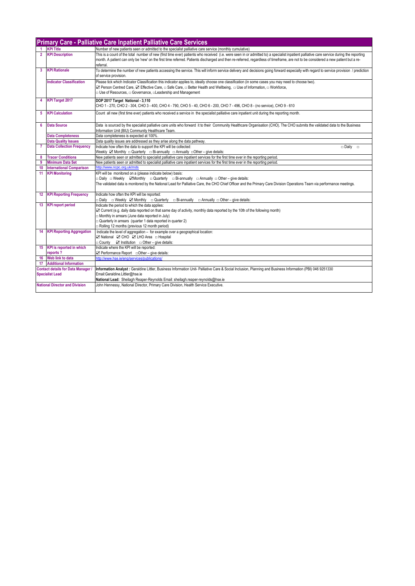|                 | <b>Primary Care - Palliative Care Inpatient Palliative Care Services</b>                                                    |                                                                                                                                                                                                                                                                                                                                                                                              |  |
|-----------------|-----------------------------------------------------------------------------------------------------------------------------|----------------------------------------------------------------------------------------------------------------------------------------------------------------------------------------------------------------------------------------------------------------------------------------------------------------------------------------------------------------------------------------------|--|
|                 | <b>KPI Title</b>                                                                                                            | Number of new patients seen or admitted to the specialist palliative care service (monthly cumulative)                                                                                                                                                                                                                                                                                       |  |
| $\overline{2}$  | <b>KPI Description</b>                                                                                                      | This is a count of the total number of new (first time ever) patients who received (i.e. were seen in or admitted to) a specialist inpatient palliative care service during the reporting<br>month. A patient can only be 'new' on the first time referred. Patients discharged and then re-referred, regardless of timeframe, are not to be considered a new patient but a re-<br>referral. |  |
| 3               | <b>KPI Rationale</b>                                                                                                        | To determine the number of new patients accessing the service. This will inform service delivery and decisions going forward especially with regard to service provision / prediction<br>of service provision.                                                                                                                                                                               |  |
|                 | <b>Indicator Classification</b>                                                                                             | Please tick which Indicator Classification this indicator applies to, ideally choose one classification (in some cases you may need to choose two).<br>2 Person Centred Care, 2 Effective Care, □ Safe Care, □ Better Health and Wellbeing, □ Use of Information, □ Workforce,<br>□ Use of Resources, □ Governance, □ Leadership and Management                                              |  |
|                 | 4 KPI Target 2017                                                                                                           | DOP 2017 Target National - 3,110<br>CHO 1 - 270, CHO 2 - 304, CHO 3 - 400, CHO 4 - 790, CHO 5 - 40, CHO 6 - 200, CHO 7 - 496, CHO 8 - (no service), CHO 9 - 610                                                                                                                                                                                                                              |  |
| 5               | <b>KPI Calculation</b>                                                                                                      | Count all new (first time ever) patients who received a service in the specialist palliative care inpatient unit during the reporting month.                                                                                                                                                                                                                                                 |  |
| 6               | <b>Data Source</b>                                                                                                          | Data is sourced by the specialist palliative care units who forward it to their Community Healthcare Organisation (CHO). The CHO submits the validated data to the Business<br>Information Unit (BIU) Community Healthcare Team.                                                                                                                                                             |  |
|                 | <b>Data Completeness</b>                                                                                                    | Data completeness is expected at 100%                                                                                                                                                                                                                                                                                                                                                        |  |
|                 | <b>Data Quality Issues</b>                                                                                                  | Data quality issues are addressed as they arise along the data pathway.                                                                                                                                                                                                                                                                                                                      |  |
| $\mathbf{7}$    | <b>Data Collection Frequency</b>                                                                                            | Indicate how often the data to support the KPI will be collected:<br>$\square$ Daily $\square$<br>Weekly $\boxtimes$ Monthly $\Box$ Quarterly $\Box$ Bi-annually $\Box$ Annually $\Box$ Other – give details:                                                                                                                                                                                |  |
| 8               | <b>Tracer Conditions</b>                                                                                                    | New patients seen or admitted to specialist palliative care inpatient services for the first time ever in the reporting period.                                                                                                                                                                                                                                                              |  |
| 9               | <b>Minimum Data Set</b>                                                                                                     | New patients seen or admitted to specialist palliative care inpatient services for the first time ever in the reporting period.                                                                                                                                                                                                                                                              |  |
| 10              | <b>International Comparison</b>                                                                                             | http://www.ncpc.org.uk/mds                                                                                                                                                                                                                                                                                                                                                                   |  |
| 11              | <b>KPI Monitoring</b>                                                                                                       | KPI will be monitored on a (please indicate below) basis:                                                                                                                                                                                                                                                                                                                                    |  |
|                 |                                                                                                                             | □ Daily □ Weekly ZMonthly □ Quarterly □ Bi-annually □ Annually □ Other – give details:                                                                                                                                                                                                                                                                                                       |  |
|                 |                                                                                                                             | The validated data is monitored by the National Lead for Palliative Care, the CHO Chief Officer and the Primary Care Division Operations Team via performance meetings.                                                                                                                                                                                                                      |  |
| 12 <sub>2</sub> | <b>KPI Reporting Frequency</b>                                                                                              | Indicate how often the KPI will be reported:<br>□ Daily □ Weekly Z Monthly □ Quarterly □ Bi-annually<br>$\Box$ Annually $\Box$ Other – give details:                                                                                                                                                                                                                                         |  |
|                 | 13 KPI report period                                                                                                        | Indicate the period to which the data applies:                                                                                                                                                                                                                                                                                                                                               |  |
|                 |                                                                                                                             | ○ Current (e.g. daily data reported on that same day of activity, monthly data reported by the 10th of the following month)                                                                                                                                                                                                                                                                  |  |
|                 |                                                                                                                             | m Monthly in arrears (June data reported in July)                                                                                                                                                                                                                                                                                                                                            |  |
|                 |                                                                                                                             | Quarterly in arrears (quarter 1 data reported in quarter 2)                                                                                                                                                                                                                                                                                                                                  |  |
|                 |                                                                                                                             | Rolling 12 months (previous 12 month period)                                                                                                                                                                                                                                                                                                                                                 |  |
| 14              | <b>KPI Reporting Aggregation</b>                                                                                            | Indicate the level of aggregation - for example over a geographical location:                                                                                                                                                                                                                                                                                                                |  |
|                 |                                                                                                                             | ⊠ National ⊠ CHO ⊠ LHO Area □ Hospital                                                                                                                                                                                                                                                                                                                                                       |  |
|                 |                                                                                                                             | $\Box$ County $\Box$ Institution $\Box$ Other – give details:                                                                                                                                                                                                                                                                                                                                |  |
|                 | 15 KPI is reported in which                                                                                                 | Indicate where the KPI will be reported:                                                                                                                                                                                                                                                                                                                                                     |  |
|                 | reports?<br>16 Web link to data                                                                                             | $\boxtimes$ Performance Report $\Box$ Other – give details:<br>http://www.hse.ie/eng/services/publications/                                                                                                                                                                                                                                                                                  |  |
|                 | 17 Additional Information                                                                                                   |                                                                                                                                                                                                                                                                                                                                                                                              |  |
|                 | <b>Contact details for Data Manager</b>                                                                                     | Information Analyst: Geraldine Littler, Business Information Unit- Palliative Care & Social Inclusion, Planning and Business Information (PBI) 046 9251330                                                                                                                                                                                                                                   |  |
|                 | <b>Specialist Lead</b>                                                                                                      | Email:Geraldine.Littler@hse.ie                                                                                                                                                                                                                                                                                                                                                               |  |
|                 |                                                                                                                             | National Lead: Sheilagh Reaper-Reynolds Email: sheilagh.reaper-reynolds@hse.ie                                                                                                                                                                                                                                                                                                               |  |
|                 | <b>National Director and Division</b><br>John Hennessy, National Director, Primary Care Division, Health Service Executive. |                                                                                                                                                                                                                                                                                                                                                                                              |  |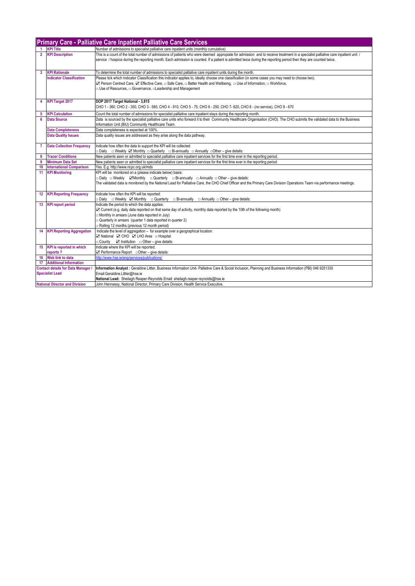|                                                                     | <b>Primary Care - Palliative Care Inpatient Palliative Care Services</b> |                                                                                                                                                                                                                                                                                                                                                      |  |
|---------------------------------------------------------------------|--------------------------------------------------------------------------|------------------------------------------------------------------------------------------------------------------------------------------------------------------------------------------------------------------------------------------------------------------------------------------------------------------------------------------------------|--|
| -1                                                                  | <b>KPI Title</b>                                                         | Number of admissions to specialist palliative care inpatient units (monthly cumulative)                                                                                                                                                                                                                                                              |  |
| $\overline{2}$                                                      | <b>KPI Description</b>                                                   | This is a count of the total number of admissions of patients who were deemed appropiate for admission and to receive treatment in a specialist palliative care inpatient unit /<br>service / hospice during the reporting month. Each admission is counted. If a patient is admitted twice during the reporting period then they are counted twice. |  |
| $\mathbf{3}$                                                        | <b>KPI Rationale</b>                                                     | To determine the total number of admissions to specialist palliative care inpatient units during the month.                                                                                                                                                                                                                                          |  |
|                                                                     | <b>Indicator Classification</b>                                          | Please tick which Indicator Classification this indicator applies to, ideally choose one classification (in some cases you may need to choose two).<br>2 Person Centred Care, 2 Effective Care, □ Safe Care, □ Better Health and Wellbeing, □ Use of Information, □ Workforce,<br>□ Use of Resources, □ Governance, □ Leadership and Management      |  |
| 4                                                                   | <b>KPI Target 2017</b>                                                   | DOP 2017 Target National - 3,815<br>CHO 1 - 360, CHO 2 - 350, CHO 3 - 580, CHO 4 - 910, CHO 5 - 75, CHO 6 - 250, CHO 7 - 620, CHO 8 - (no service), CHO 9 - 670                                                                                                                                                                                      |  |
| $5^{\circ}$                                                         | <b>KPI Calculation</b>                                                   | Count the total number of admissions for specialist palliative care inpatient stays during the reporting month.                                                                                                                                                                                                                                      |  |
| 6                                                                   | <b>Data Source</b>                                                       | Data is sourced by the specialist palliative care units who forward it to their Community Healthcare Organisation (CHO). The CHO submits the validated data to the Business<br>Information Unit (BIU) Community Healthcare Team.                                                                                                                     |  |
|                                                                     | <b>Data Completeness</b>                                                 | Data completeness is expected at 100%.                                                                                                                                                                                                                                                                                                               |  |
|                                                                     | <b>Data Quality Issues</b>                                               | Data quality issues are addressed as they arise along the data pathway.                                                                                                                                                                                                                                                                              |  |
| $7^{\circ}$                                                         | <b>Data Collection Frequency</b>                                         | Indicate how often the data to support the KPI will be collected:<br><b>Daily</b> a Weekly <b>Ø</b> Monthly a Quarterly a Bi-annually a Annually a Other – give details:                                                                                                                                                                             |  |
| 8                                                                   | <b>Tracer Conditions</b>                                                 | New patients seen or admitted to specialist palliative care inpatient services for the first time ever in the reporting period.                                                                                                                                                                                                                      |  |
| 9                                                                   | <b>Minimum Data Set</b>                                                  | New patients seen or admitted to specialist palliative care inpatient services for the first time ever in the reporting period                                                                                                                                                                                                                       |  |
| 10                                                                  | <b>International Comparison</b>                                          | Yes. E.g. http://www.ncpc.org.uk/mds                                                                                                                                                                                                                                                                                                                 |  |
| 11                                                                  | <b>KPI Monitoring</b>                                                    | KPI will be monitored on a (please indicate below) basis:<br>□ Daily □ Weekly ZMonthly □ Quarterly □ Bi-annually □ Annually □ Other – give details:<br>The validated data is monitored by the National Lead for Palliative Care, the CHO Chief Officer and the Primary Care Division Operations Team via performance meetings.                       |  |
|                                                                     | 12 KPI Reporting Frequency                                               | Indicate how often the KPI will be reported:<br>□ Daily □ Weekly ☑ Monthly □ Quarterly □ Bi-annually □ Annually □ Other – give details:                                                                                                                                                                                                              |  |
|                                                                     | 13 KPI report period                                                     | Indicate the period to which the data applies:<br>○ Current (e.g. daily data reported on that same day of activity, monthly data reported by the 10th of the following month)<br>Monthly in arrears (June data reported in July)<br>Quarterly in arrears (quarter 1 data reported in quarter 2)<br>Rolling 12 months (previous 12 month period)      |  |
|                                                                     | <b>14 KPI Reporting Aggregation</b>                                      | Indicate the level of aggregation - for example over a geographical location:<br>⊠ National ⊠ CHO ⊠ LHO Area □ Hospital<br>$\Box$ County $\Box$ Institution $\Box$ Other – give details:                                                                                                                                                             |  |
|                                                                     | 15 KPI is reported in which                                              | Indicate where the KPI will be reported:                                                                                                                                                                                                                                                                                                             |  |
|                                                                     | reports?                                                                 | $\boxtimes$ Performance Report $\Box$ Other – give details:                                                                                                                                                                                                                                                                                          |  |
|                                                                     | 16 Web link to data                                                      | http://www.hse.je/eng/services/publications/                                                                                                                                                                                                                                                                                                         |  |
|                                                                     | <b>17</b> Additional Information                                         |                                                                                                                                                                                                                                                                                                                                                      |  |
| <b>Contact details for Data Manager /</b><br><b>Specialist Lead</b> |                                                                          | Information Analyst: Geraldine Littler, Business Information Unit- Palliative Care & Social Inclusion, Planning and Business Information (PBI) 046 9251330<br>Email:Geraldine.Littler@hse.ie<br>National Lead: Sheilagh Reaper-Reynolds Email: sheilagh.reaper-reynolds@hse.ie                                                                       |  |
|                                                                     | <b>National Director and Division</b>                                    | John Hennessy, National Director, Primary Care Division, Health Service Executive.                                                                                                                                                                                                                                                                   |  |
|                                                                     |                                                                          |                                                                                                                                                                                                                                                                                                                                                      |  |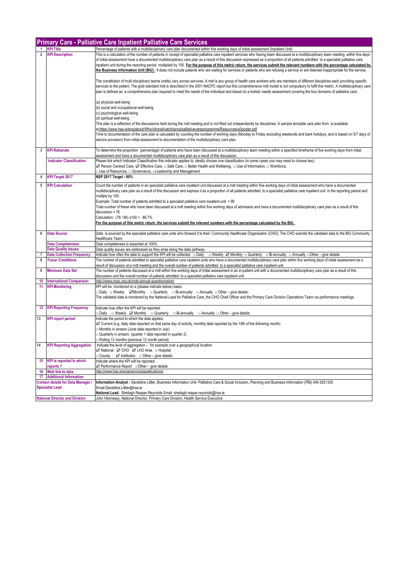|                                                                     | <b>Primary Care - Palliative Care Inpatient Palliative Care Services</b> |                                                                                                                                                                                                                                                                                                                                                                                                                                                                                                                                                                                                                                                                                                                                                              |  |  |
|---------------------------------------------------------------------|--------------------------------------------------------------------------|--------------------------------------------------------------------------------------------------------------------------------------------------------------------------------------------------------------------------------------------------------------------------------------------------------------------------------------------------------------------------------------------------------------------------------------------------------------------------------------------------------------------------------------------------------------------------------------------------------------------------------------------------------------------------------------------------------------------------------------------------------------|--|--|
|                                                                     | <b>KPI Title</b>                                                         | Percentage of patients with a multidisciplinary care plan documented within five working days of initial assessment (Inpatient Unit)                                                                                                                                                                                                                                                                                                                                                                                                                                                                                                                                                                                                                         |  |  |
| $\overline{2}$                                                      | <b>KPI Description</b>                                                   | This is a calculation of the number of patients in receipt of specialist palliative care inpatient services who having been discussed at a multidisciplinary team meeting within five days<br>of initial assessment have a documented multidisciplinary care plan as a result of this discussion expressed as a proportion of all patients admitted to a specialist palliative care<br>inpatient unit during the reporting period multiplied by 100. For the purpose of this metric return, the services submit the relevant numbers with the percentage calculated by<br>the Business Information Unit (BIU). It does not include patients who are waiting for services or patients who are refusing a service or are deemed inappropriate for the service. |  |  |
|                                                                     |                                                                          | The constitution of multi disciplinary teams (mdts) vary across services. A mdt is any group of health care workers who are members of different disciplines each providing specific<br>services to the patient. The gold standard mdt is described in the 2001 NACPC report but this comprehensive mdt model is not compulsory to fulfil this metric. A multidisciplinary care<br>plan is defined as: a comprehensive plan required to meet the needs of the individual and based on a holistic needs assessment covering the four domains of palliative care:                                                                                                                                                                                              |  |  |
|                                                                     |                                                                          | (a) physical well-being<br>(b) social and occupational well-being<br>(c) psychological well-being<br>(d) spiritual well-being                                                                                                                                                                                                                                                                                                                                                                                                                                                                                                                                                                                                                                |  |  |
|                                                                     |                                                                          | This plan is a reflection of the discussions held during the mdt meeting and is not filled out independently by disciplines. A sample template care plan form is available<br>at.https://www.hse.ie/eng/about/Who/clinical/natclinprog/palliativecareprogramme/Resources/a3poster.pdf<br>Time to documentation of the care plan is calculated by counting the number of working days (Monday to Friday excluding weekends and bank holidays, and is based on 5/7 days of<br>service provision) from initial assessment to documentation of the multidisciplinary care plan.                                                                                                                                                                                  |  |  |
| $\overline{3}$                                                      | <b>KPI Rationale</b>                                                     | To determine the proportion (percentage) of patients who have been discussed at a multidisciplinary team meeting within a specified timeframe of five working days from initial<br>assessment and have a documented multidisciplinary care plan as a result of this discussion.                                                                                                                                                                                                                                                                                                                                                                                                                                                                              |  |  |
|                                                                     | <b>Indicator Classification</b>                                          | Please tick which Indicator Classification this indicator applies to, ideally choose one classification (in some cases you may need to choose two).<br>⊠ Person Centred Care, ⊠ Effective Care, □ Safe Care, □ Better Health and Wellbeing, □ Use of Information, □ Workforce,<br>□ Use of Resources, □ Governance, □ Leadership and Management                                                                                                                                                                                                                                                                                                                                                                                                              |  |  |
|                                                                     | <b>KPI Target 2017</b>                                                   | NSP 2017 Target - 90%                                                                                                                                                                                                                                                                                                                                                                                                                                                                                                                                                                                                                                                                                                                                        |  |  |
| 5                                                                   | <b>KPI Calculation</b>                                                   | Count the number of patients in an specialist palliative care inpatient unit discussed at a mdt meeting within five working days of initial assessment who have a documented<br>multidisciplinary care plan as a result of this discussion and express it as a proportion of all patients admitted to a specialist palliative care inpatient unit in the reporting period and<br>multiply by 100.<br>Example: Total number of patients admitted to a specialist palliative care inpatient unit = 90<br>Total number of these who have been discussed at a mdt meeting within five working days of admission and have a documented multidisciplinary care plan as a result of this                                                                            |  |  |
|                                                                     |                                                                          | discussion = 78<br>Calculation: (78 / 90) x100 = 86.7%<br>For the purpose of this metric return, the services submit the relevant numbers with the percentage calculated by the BIU.                                                                                                                                                                                                                                                                                                                                                                                                                                                                                                                                                                         |  |  |
| 6                                                                   | <b>Data Source</b>                                                       | Data is sourced by the specialist palliative care units who forward it to their Community Healthcare Organisation (CHO). The CHO submits the validated data to the BIU Community<br>Healthcare Team.                                                                                                                                                                                                                                                                                                                                                                                                                                                                                                                                                         |  |  |
|                                                                     | <b>Data Completeness</b>                                                 | Data completeness is expected at 100%                                                                                                                                                                                                                                                                                                                                                                                                                                                                                                                                                                                                                                                                                                                        |  |  |
|                                                                     | <b>Data Quality Issues</b>                                               | Data quality issues are addressed as they arise along the data pathway.                                                                                                                                                                                                                                                                                                                                                                                                                                                                                                                                                                                                                                                                                      |  |  |
| 7                                                                   | <b>Data Collection Frequency</b>                                         | Indicate how often the data to support the KPI will be collected: □ Daily □ Weekly Ø Monthly □ Quarterly □ Bi-annually □ Annually □ Other – give details:                                                                                                                                                                                                                                                                                                                                                                                                                                                                                                                                                                                                    |  |  |
| 8                                                                   | <b>Tracer Conditions</b>                                                 | The number of patients admitted to specialist palliative care inpatient units who have a documented multidisciplinary care plan within five working days of initial assessment as a<br>result of discussion at a mdt meeting and the overall number of patients admitted to a specialist palliative care inpatient unit.                                                                                                                                                                                                                                                                                                                                                                                                                                     |  |  |
| 9                                                                   | <b>Minimum Data Set</b>                                                  | The number of patients discussed at a mdt within five working days of initial assessment in an in-patient unit with a documented multidisciplinary care plan as a result of this<br>discussion and the overall number of patients admitted to a specialist palliative care inpatient unit.                                                                                                                                                                                                                                                                                                                                                                                                                                                                   |  |  |
| 10                                                                  | <b>International Comparison</b>                                          | http://www.ncpc.org.uk/mds-annual-questionnaires                                                                                                                                                                                                                                                                                                                                                                                                                                                                                                                                                                                                                                                                                                             |  |  |
| 11                                                                  | <b>KPI Monitoring</b>                                                    | KPI will be monitored on a (please indicate below) basis:<br>□ Daily □ Weekly ZMonthly □ Quarterly □ Bi-annually □ Annually □ Other – give details:<br>The validated data is monitored by the National Lead for Palliative Care, the CHO Chief Officer and the Primary Care Division Operations Team via performance meetings.                                                                                                                                                                                                                                                                                                                                                                                                                               |  |  |
| 12                                                                  | <b>KPI Reporting Frequency</b>                                           | Indicate how often the KPI will be reported:<br>□ Daily □ Weekly ☑ Monthly □ Quarterly □ Bi-annually □ Annually □ Other – give details:                                                                                                                                                                                                                                                                                                                                                                                                                                                                                                                                                                                                                      |  |  |
| 13                                                                  | <b>KPI report period</b>                                                 | Indicate the period to which the data applies:<br>○ Current (e.g. daily data reported on that same day of activity, monthly data reported by the 10th of the following month)<br>□ Monthly in arrears (June data reported in July)<br>Quarterly in arrears (quarter 1 data reported in quarter 2)<br>Rolling 12 months (previous 12 month period)                                                                                                                                                                                                                                                                                                                                                                                                            |  |  |
| 14                                                                  | <b>KPI Reporting Aggregation</b>                                         | Indicate the level of aggregation - for example over a geographical location:<br>⊠ National ⊠ CHO ⊠ LHO Area □ Hospital<br>□ County Z Institution □ Other – give details:                                                                                                                                                                                                                                                                                                                                                                                                                                                                                                                                                                                    |  |  |
| 15 <sub>15</sub>                                                    | <b>KPI</b> is reported in which<br>reports?                              | Indicate where the KPI will be reported:<br>⊡ Performance Report  □ Other - give details:                                                                                                                                                                                                                                                                                                                                                                                                                                                                                                                                                                                                                                                                    |  |  |
| 16                                                                  | Web link to data                                                         | http://www.hse.ie/eng/services/publications/                                                                                                                                                                                                                                                                                                                                                                                                                                                                                                                                                                                                                                                                                                                 |  |  |
|                                                                     | 17 Additional Information                                                |                                                                                                                                                                                                                                                                                                                                                                                                                                                                                                                                                                                                                                                                                                                                                              |  |  |
| <b>Contact details for Data Manager /</b><br><b>Specialist Lead</b> |                                                                          | Information Analyst: Geraldine Littler, Business Information Unit- Palliative Care & Social Inclusion, Planning and Business Information (PBI) 046 9251330<br>Email:Geraldine.Littler@hse.ie<br>National Lead: Sheilagh Reaper-Reynolds Email: sheilagh.reaper-reynolds@hse.ie                                                                                                                                                                                                                                                                                                                                                                                                                                                                               |  |  |
|                                                                     | <b>National Director and Division</b>                                    | John Hennessy, National Director, Primary Care Division, Health Service Executive.                                                                                                                                                                                                                                                                                                                                                                                                                                                                                                                                                                                                                                                                           |  |  |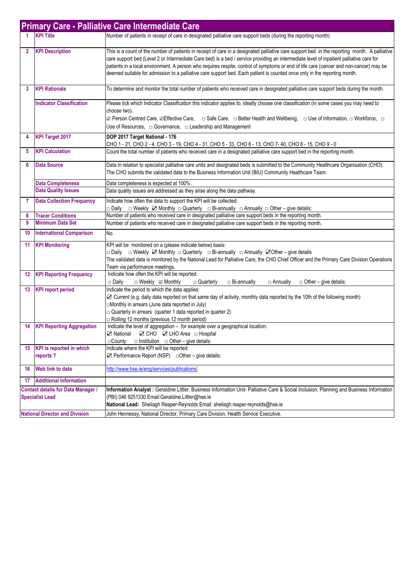| <b>Primary Care - Palliative Care Intermediate Care</b>             |                                             |                                                                                                                                                                                                                                                                                                                                                                                                                                                                                                                                                                 |
|---------------------------------------------------------------------|---------------------------------------------|-----------------------------------------------------------------------------------------------------------------------------------------------------------------------------------------------------------------------------------------------------------------------------------------------------------------------------------------------------------------------------------------------------------------------------------------------------------------------------------------------------------------------------------------------------------------|
|                                                                     | <b>KPI Title</b>                            | Number of patients in receipt of care in designated palliative care support beds (during the reporting month)                                                                                                                                                                                                                                                                                                                                                                                                                                                   |
| $\mathbf{2}$                                                        | <b>KPI Description</b>                      | This is a count of the number of patients in receipt of care in a designated palliative care support bed in the reporting month. A palliative<br>care support bed (Level 2 or Intermediate Care bed) is a bed / service providing an intermediate level of inpatient palliative care for<br>patients in a local environment. A person who requires respite, control of symptoms or end of life care (cancer and non-cancer) may be<br>deemed suitable for admission to a palliative care support bed. Each patient is counted once only in the reporting month. |
| 3                                                                   | <b>KPI Rationale</b>                        | To determine and monitor the total number of patients who received care in designated palliative care support beds during the month.                                                                                                                                                                                                                                                                                                                                                                                                                            |
|                                                                     | <b>Indicator Classification</b>             | Please tick which Indicator Classification this indicator applies to, ideally choose one classification (in some cases you may need to<br>choose two).<br>Use of Resources, $\Box$ Governance, $\Box$ Leadership and Management                                                                                                                                                                                                                                                                                                                                 |
| 4                                                                   | <b>KPI Target 2017</b>                      | DOP 2017 Target National - 176<br>CHO 1 - 21, CHO 2 - 4, CHO 3 - 19, CHO 4 - 31, CHO 5 - 33, CHO 6 - 13, CHO 7- 40, CHO 8 - 15, CHO 9 - 0                                                                                                                                                                                                                                                                                                                                                                                                                       |
| 5                                                                   | <b>KPI Calculation</b>                      | Count the total number of patients who received care in a designated palliative care support bed in the reporting month.                                                                                                                                                                                                                                                                                                                                                                                                                                        |
| 6                                                                   | <b>Data Source</b>                          | Data in relation to specialist palliative care units and designated beds is submitted to the Community Healthcare Organisation (CHO).<br>The CHO submits the validated data to the Business Information Unit (BIU) Community Healthcare Team.                                                                                                                                                                                                                                                                                                                   |
|                                                                     | <b>Data Completeness</b>                    | Data completeness is expected at 100%.                                                                                                                                                                                                                                                                                                                                                                                                                                                                                                                          |
|                                                                     | <b>Data Quality Issues</b>                  | Data quality issues are addressed as they arise along the data pathway.                                                                                                                                                                                                                                                                                                                                                                                                                                                                                         |
| 7                                                                   | <b>Data Collection Frequency</b>            | Indicate how often the data to support the KPI will be collected:<br>$\Box$ Weekly $\Box$ Monthly $\Box$ Quarterly $\Box$ Bi-annually $\Box$ Annually $\Box$ Other – give details:<br>⊟ Daily                                                                                                                                                                                                                                                                                                                                                                   |
| 8                                                                   | <b>Tracer Conditions</b>                    | Number of patients who received care in designated palliative care support beds in the reporting month.                                                                                                                                                                                                                                                                                                                                                                                                                                                         |
| 9                                                                   | <b>Minimum Data Set</b>                     | Number of patients who received care in designated palliative care support beds in the reporting month.                                                                                                                                                                                                                                                                                                                                                                                                                                                         |
| 10                                                                  | <b>International Comparison</b>             | No                                                                                                                                                                                                                                                                                                                                                                                                                                                                                                                                                              |
| 11                                                                  | <b>KPI Monitoring</b>                       | KPI will be monitored on a (please indicate below) basis:<br>□ Daily □ Weekly ☑ Monthly □ Quarterly □ Bi-annually □ Annually ☑ Other – give details<br>The validated data is monitored by the National Lead for Palliative Care, the CHO Chief Officer and the Primary Care Division Operations<br>Team via performance meetings.                                                                                                                                                                                                                               |
| 12                                                                  | <b>KPI Reporting Frequency</b>              | Indicate how often the KPI will be reported:<br>□ Weekly ☑ Monthly<br>$\Box$ Bi-annually<br>□ Daily<br>$\Box$ Quarterly<br>$\Box$ Annually<br>$\Box$ Other – give details:                                                                                                                                                                                                                                                                                                                                                                                      |
| 13                                                                  | <b>KPI report period</b>                    | Indicate the period to which the data applies:<br>☑ Current (e.g. daily data reported on that same day of activity, monthly data reported by the 10th of the following month)<br>mMonthly in arrears (June data reported in July)<br>$\Box$ Quarterly in arrears (quarter 1 data reported in quarter 2)<br>□ Rolling 12 months (previous 12 month period)                                                                                                                                                                                                       |
| 14                                                                  | <b>KPI Reporting Aggregation</b>            | Indicate the level of aggregation - for example over a geographical location:<br>☑ CHO ☑ LHO Area □ Hospital<br>⊠ National<br>$\Box$ Institution $\Box$ Other – give details:<br>$\Box$ County                                                                                                                                                                                                                                                                                                                                                                  |
| 15                                                                  | <b>KPI</b> is reported in which<br>reports? | Indicate where the KPI will be reported:<br>$\blacktriangleright$ Performance Report (NSP) $\Box$ Other – give details:                                                                                                                                                                                                                                                                                                                                                                                                                                         |
| 16                                                                  | Web link to data                            | http://www.hse.ie/eng/services/publications/                                                                                                                                                                                                                                                                                                                                                                                                                                                                                                                    |
| 17                                                                  | <b>Additional Information</b>               |                                                                                                                                                                                                                                                                                                                                                                                                                                                                                                                                                                 |
| <b>Contact details for Data Manager /</b><br><b>Specialist Lead</b> |                                             | Information Analyst : Geraldine Littler, Business Information Unit- Palliative Care & Social Inclusion, Planning and Business Information<br>(PBI) 046 9251330 Email:Geraldine.Littler@hse.ie<br>National Lead: Sheilagh Reaper-Reynolds Email: sheilagh.reaper-reynolds@hse.ie                                                                                                                                                                                                                                                                                 |
|                                                                     | <b>National Director and Division</b>       | John Hennessy, National Director, Primary Care Division, Health Service Executive.                                                                                                                                                                                                                                                                                                                                                                                                                                                                              |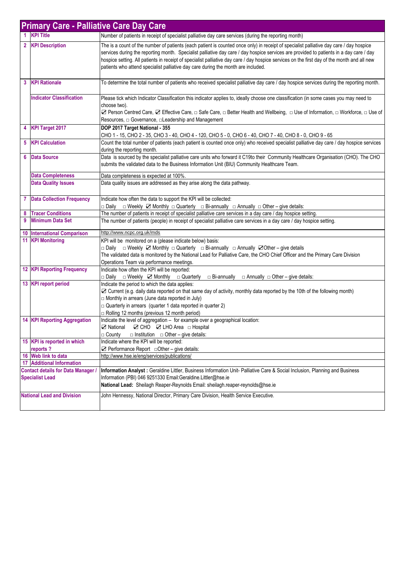|                                                                     | <b>Primary Care - Palliative Care Day Care</b> |                                                                                                                                                                                                                                                                                                                                                                                                                                                                                                                        |
|---------------------------------------------------------------------|------------------------------------------------|------------------------------------------------------------------------------------------------------------------------------------------------------------------------------------------------------------------------------------------------------------------------------------------------------------------------------------------------------------------------------------------------------------------------------------------------------------------------------------------------------------------------|
|                                                                     | 1 KPI Title                                    | Number of patients in receipt of specialist palliative day care services (during the reporting month)                                                                                                                                                                                                                                                                                                                                                                                                                  |
|                                                                     | 2 KPI Description                              | The is a count of the number of patients (each patient is counted once only) in receipt of specialist palliative day care / day hospice<br>services during the reporting month. Specialist palliative day care / day hospice services are provided to patients in a day care / day<br>hospice setting. All patients in receipt of specialist palliative day care / day hospice services on the first day of the month and all new<br>patients who attend specialist palliative day care during the month are included. |
| 3                                                                   | <b>KPI Rationale</b>                           | To determine the total number of patients who received specialist palliative day care / day hospice services during the reporting month.                                                                                                                                                                                                                                                                                                                                                                               |
|                                                                     | <b>Indicator Classification</b>                | Please tick which Indicator Classification this indicator applies to, ideally choose one classification (in some cases you may need to<br>choose two).<br>Z Person Centred Care, Z Effective Care, □ Safe Care, □ Better Health and Wellbeing, □ Use of Information, □ Workforce, □ Use of<br>Resources, $\Box$ Governance, $\Box$ Leadership and Management                                                                                                                                                           |
|                                                                     | 4 KPI Target 2017                              | DOP 2017 Target National - 355<br>CHO 1 - 15, CHO 2 - 35, CHO 3 - 40, CHO 4 - 120, CHO 5 - 0, CHO 6 - 40, CHO 7 - 40, CHO 8 - 0, CHO 9 - 65                                                                                                                                                                                                                                                                                                                                                                            |
| 5                                                                   | <b>KPI Calculation</b>                         | Count the total number of patients (each patient is counted once only) who received specialist palliative day care / day hospice services<br>during the reporting month.                                                                                                                                                                                                                                                                                                                                               |
| 6                                                                   | <b>Data Source</b>                             | Data is sourced by the specialist palliative care units who forward it C19to their Community Healthcare Organisation (CHO). The CHO<br>submits the validated data to the Business Information Unit (BIU) Community Healthcare Team.                                                                                                                                                                                                                                                                                    |
|                                                                     | <b>Data Completeness</b>                       | Data completeness is expected at 100%.                                                                                                                                                                                                                                                                                                                                                                                                                                                                                 |
|                                                                     | <b>Data Quality Issues</b>                     | Data quality issues are addressed as they arise along the data pathway.                                                                                                                                                                                                                                                                                                                                                                                                                                                |
|                                                                     | <b>7</b> Data Collection Frequency             | Indicate how often the data to support the KPI will be collected:<br>□ Daily □ Weekly ☑ Monthly □ Quarterly □ Bi-annually □ Annually □ Other – give details:                                                                                                                                                                                                                                                                                                                                                           |
| 8                                                                   | <b>Tracer Conditions</b>                       | The number of patients in receipt of specialist palliative care services in a day care / day hospice setting.                                                                                                                                                                                                                                                                                                                                                                                                          |
| 9                                                                   | <b>Minimum Data Set</b>                        | The number of patients (people) in receipt of specialist palliative care services in a day care / day hospice setting.                                                                                                                                                                                                                                                                                                                                                                                                 |
| 10                                                                  | <b>International Comparison</b>                | http://www.ncpc.org.uk/mds                                                                                                                                                                                                                                                                                                                                                                                                                                                                                             |
|                                                                     | <b>11 KPI Monitoring</b>                       | KPI will be monitored on a (please indicate below) basis:<br>□ Daily □ Weekly ☑ Monthly □ Quarterly □ Bi-annually □ Annually ☑ Other – give details<br>The validated data is monitored by the National Lead for Palliative Care, the CHO Chief Officer and the Primary Care Division<br>Operations Team via performance meetings.                                                                                                                                                                                      |
|                                                                     | <b>12 KPI Reporting Frequency</b>              | Indicate how often the KPI will be reported:<br>□ Daily □ Weekly ☑ Monthly □ Quarterly □ Bi-annually □ Annually □ Other – give details:                                                                                                                                                                                                                                                                                                                                                                                |
|                                                                     | 13 KPI report period                           | Indicate the period to which the data applies:<br>☑ Current (e.g. daily data reported on that same day of activity, monthly data reported by the 10th of the following month)<br>□ Monthly in arrears (June data reported in July)<br>$\Box$ Quarterly in arrears (quarter 1 data reported in quarter 2)<br>$\Box$ Rolling 12 months (previous 12 month period)                                                                                                                                                        |
|                                                                     | <b>14 KPI Reporting Aggregation</b>            | Indicate the level of aggregation - for example over a geographical location:<br>⊠ National ⊠ CHO ⊠ LHO Area □ Hospital<br>$\Box$ Institution $\Box$ Other – give details:<br>□ County                                                                                                                                                                                                                                                                                                                                 |
|                                                                     | 15 KPI is reported in which                    | Indicate where the KPI will be reported:                                                                                                                                                                                                                                                                                                                                                                                                                                                                               |
|                                                                     | reports?                                       | $\boxtimes$ Performance Report $\Box$ Other – give details:                                                                                                                                                                                                                                                                                                                                                                                                                                                            |
|                                                                     | 16 Web link to data                            | http://www.hse.ie/eng/services/publications/                                                                                                                                                                                                                                                                                                                                                                                                                                                                           |
|                                                                     | 17 Additional Information                      |                                                                                                                                                                                                                                                                                                                                                                                                                                                                                                                        |
| <b>Contact details for Data Manager /</b><br><b>Specialist Lead</b> |                                                | Information Analyst : Geraldine Littler, Business Information Unit- Palliative Care & Social Inclusion, Planning and Business<br>Information (PBI) 046 9251330 Email: Geraldine. Littler@hse.ie<br>National Lead: Sheilagh Reaper-Reynolds Email: sheilagh.reaper-reynolds@hse.ie                                                                                                                                                                                                                                      |
| <b>National Lead and Division</b>                                   |                                                | John Hennessy, National Director, Primary Care Division, Health Service Executive.                                                                                                                                                                                                                                                                                                                                                                                                                                     |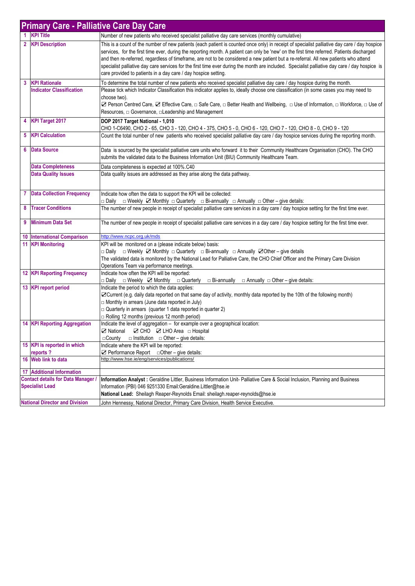|   | <b>Primary Care - Palliative Care Day Care</b>                      |                                                                                                                                                                                                                                                                                                                                                                                                                                                                                                                                                                                                                                                        |  |  |
|---|---------------------------------------------------------------------|--------------------------------------------------------------------------------------------------------------------------------------------------------------------------------------------------------------------------------------------------------------------------------------------------------------------------------------------------------------------------------------------------------------------------------------------------------------------------------------------------------------------------------------------------------------------------------------------------------------------------------------------------------|--|--|
|   | <b>KPI Title</b>                                                    | Number of new patients who received specialist palliative day care services (monthly cumulative)                                                                                                                                                                                                                                                                                                                                                                                                                                                                                                                                                       |  |  |
|   | 2 KPI Description                                                   | This is a count of the number of new patients (each patient is counted once only) in receipt of specialist palliative day care / day hospice<br>services, for the first time ever, during the reporting month. A patient can only be 'new' on the first time referred. Patients discharged<br>and then re-referred, regardless of timeframe, are not to be considered a new patient but a re-referral. All new patients who attend<br>specialist palliative day care services for the first time ever during the month are included. Specialist palliative day care / day hospice is<br>care provided to patients in a day care / day hospice setting. |  |  |
| 3 | <b>KPI Rationale</b>                                                | To determine the total number of new patients who received specialist palliative day care / day hospice during the month.                                                                                                                                                                                                                                                                                                                                                                                                                                                                                                                              |  |  |
|   | <b>Indicator Classification</b>                                     | Please tick which Indicator Classification this indicator applies to, ideally choose one classification (in some cases you may need to<br>choose two).<br><b><math>\Box</math></b> Person Centred Care, $\Box$ Effective Care, □ Safe Care, □ Better Health and Wellbeing, □ Use of Information, □ Workforce, □ Use of<br>Resources, $\Box$ Governance, $\Box$ Leadership and Management                                                                                                                                                                                                                                                               |  |  |
|   | 4 KPI Target 2017                                                   | DOP 2017 Target National - 1,010                                                                                                                                                                                                                                                                                                                                                                                                                                                                                                                                                                                                                       |  |  |
|   | <b>5</b> KPI Calculation                                            | CHO 1-C6490, CHO 2 - 65, CHO 3 - 120, CHO 4 - 375, CHO 5 - 0, CHO 6 - 120, CHO 7 - 120, CHO 8 - 0, CHO 9 - 120<br>Count the total number of new patients who received specialist palliative day care / day hospice services during the reporting month.                                                                                                                                                                                                                                                                                                                                                                                                |  |  |
| 6 | <b>Data Source</b>                                                  | Data is sourced by the specialist palliative care units who forward it to their Community Healthcare Organisation (CHO). The CHO<br>submits the validated data to the Business Information Unit (BIU) Community Healthcare Team.                                                                                                                                                                                                                                                                                                                                                                                                                       |  |  |
|   | <b>Data Completeness</b>                                            | Data completeness is expected at 100%.C40                                                                                                                                                                                                                                                                                                                                                                                                                                                                                                                                                                                                              |  |  |
|   | <b>Data Quality Issues</b>                                          | Data quality issues are addressed as they arise along the data pathway.                                                                                                                                                                                                                                                                                                                                                                                                                                                                                                                                                                                |  |  |
|   | <b>7</b> Data Collection Frequency                                  | Indicate how often the data to support the KPI will be collected:<br>□ Daily □ Weekly ☑ Monthly □ Quarterly □ Bi-annually □ Annually □ Other – give details:                                                                                                                                                                                                                                                                                                                                                                                                                                                                                           |  |  |
| 8 | <b>Tracer Conditions</b>                                            | The number of new people in receipt of specialist palliative care services in a day care / day hospice setting for the first time ever.                                                                                                                                                                                                                                                                                                                                                                                                                                                                                                                |  |  |
| 9 | <b>Minimum Data Set</b>                                             | The number of new people in receipt of specialist palliative care services in a day care / day hospice setting for the first time ever.                                                                                                                                                                                                                                                                                                                                                                                                                                                                                                                |  |  |
|   | <b>10 International Comparison</b>                                  | http://www.ncpc.org.uk/mds                                                                                                                                                                                                                                                                                                                                                                                                                                                                                                                                                                                                                             |  |  |
|   | <b>11 KPI Monitoring</b>                                            | KPI will be monitored on a (please indicate below) basis:<br>□ Daily □ Weekly ☑ Monthly □ Quarterly □ Bi-annually □ Annually ☑ Other – give details<br>The validated data is monitored by the National Lead for Palliative Care, the CHO Chief Officer and the Primary Care Division<br>Operations Team via performance meetings.                                                                                                                                                                                                                                                                                                                      |  |  |
|   | <b>12 KPI Reporting Frequency</b>                                   | Indicate how often the KPI will be reported:<br>□ Daily □ Weekly ■ Monthly □ Quarterly<br>□ Bi-annually<br>$\Box$ Annually $\Box$ Other – give details:                                                                                                                                                                                                                                                                                                                                                                                                                                                                                                |  |  |
|   | 13 KPI report period                                                | Indicate the period to which the data applies:<br>⊠Current (e.g. daily data reported on that same day of activity, monthly data reported by the 10th of the following month)<br>Monthly in arrears (June data reported in July)<br>$\Box$ Quarterly in arrears (quarter 1 data reported in quarter 2)<br>$\Box$ Rolling 12 months (previous 12 month period)                                                                                                                                                                                                                                                                                           |  |  |
|   | <b>14 KPI Reporting Aggregation</b>                                 | Indicate the level of aggregation - for example over a geographical location:<br>⊠ National ⊠ CHO ⊠ LHO Area □ Hospital<br>$\Box$ County $\Box$ Institution $\Box$ Other - give details:                                                                                                                                                                                                                                                                                                                                                                                                                                                               |  |  |
|   | 15 KPI is reported in which                                         | Indicate where the KPI will be reported:                                                                                                                                                                                                                                                                                                                                                                                                                                                                                                                                                                                                               |  |  |
|   | reports?                                                            | $\Box$ Performance Report $\Box$ Other – give details:                                                                                                                                                                                                                                                                                                                                                                                                                                                                                                                                                                                                 |  |  |
|   | 16 Web link to data                                                 | http://www.hse.ie/eng/services/publications/                                                                                                                                                                                                                                                                                                                                                                                                                                                                                                                                                                                                           |  |  |
|   | <b>17 Additional Information</b>                                    |                                                                                                                                                                                                                                                                                                                                                                                                                                                                                                                                                                                                                                                        |  |  |
|   | <b>Contact details for Data Manager /</b><br><b>Specialist Lead</b> | Information Analyst : Geraldine Littler, Business Information Unit- Palliative Care & Social Inclusion, Planning and Business<br>Information (PBI) 046 9251330 Email: Geraldine. Littler@hse.ie<br>National Lead: Sheilagh Reaper-Reynolds Email: sheilagh.reaper-reynolds@hse.ie                                                                                                                                                                                                                                                                                                                                                                      |  |  |
|   | <b>National Director and Division</b>                               | John Hennessy, National Director, Primary Care Division, Health Service Executive.                                                                                                                                                                                                                                                                                                                                                                                                                                                                                                                                                                     |  |  |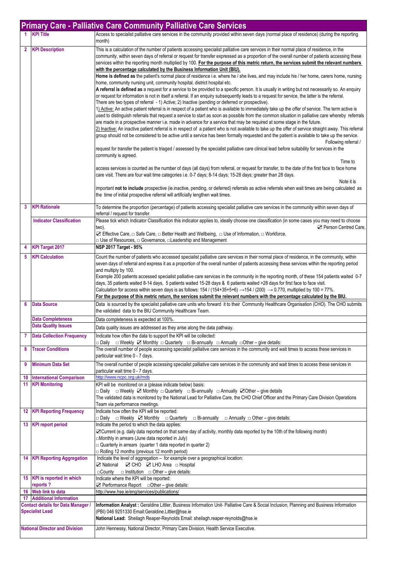|                                                                     |                                                              | <b>Primary Care - Palliative Care Community Palliative Care Services</b>                                                                                                                                                                                                                                                                                                                                                                                                                                                                                                                                                                                                                                                                                                                                                                                                                                                                                                                                                                                                                                                                                                                                                                                                                                                                                                                                                                                                                                                                                                                                                                                                                                                                                                                                                                                                                                                                                                                                                                                                                                                                                                                                                                                                                                                                                                                                                                                                                                                                                                                                                    |
|---------------------------------------------------------------------|--------------------------------------------------------------|-----------------------------------------------------------------------------------------------------------------------------------------------------------------------------------------------------------------------------------------------------------------------------------------------------------------------------------------------------------------------------------------------------------------------------------------------------------------------------------------------------------------------------------------------------------------------------------------------------------------------------------------------------------------------------------------------------------------------------------------------------------------------------------------------------------------------------------------------------------------------------------------------------------------------------------------------------------------------------------------------------------------------------------------------------------------------------------------------------------------------------------------------------------------------------------------------------------------------------------------------------------------------------------------------------------------------------------------------------------------------------------------------------------------------------------------------------------------------------------------------------------------------------------------------------------------------------------------------------------------------------------------------------------------------------------------------------------------------------------------------------------------------------------------------------------------------------------------------------------------------------------------------------------------------------------------------------------------------------------------------------------------------------------------------------------------------------------------------------------------------------------------------------------------------------------------------------------------------------------------------------------------------------------------------------------------------------------------------------------------------------------------------------------------------------------------------------------------------------------------------------------------------------------------------------------------------------------------------------------------------------|
|                                                                     | 1 KPI Title                                                  | Access to specialist palliative care services in the community provided within seven days (normal place of residence) (during the reporting<br>month)                                                                                                                                                                                                                                                                                                                                                                                                                                                                                                                                                                                                                                                                                                                                                                                                                                                                                                                                                                                                                                                                                                                                                                                                                                                                                                                                                                                                                                                                                                                                                                                                                                                                                                                                                                                                                                                                                                                                                                                                                                                                                                                                                                                                                                                                                                                                                                                                                                                                       |
| $\overline{2}$                                                      | <b>KPI Description</b>                                       | This is a calculation of the number of patients accessing specialist palliative care services in their normal place of residence, in the<br>community, within seven days of referral or request for transfer expressed as a proportion of the overall number of patients accessing these<br>services within the reporting month multiplied by 100. For the purpose of this metric return, the services submit the relevant numbers<br>with the percentage calculated by the Business Information Unit (BIU).<br>Home is defined as the patient's normal place of residence i.e. where he / she lives, and may include his / her home, carers home, nursing<br>home, community nursing unit, community hospital, district hospital etc.<br>A referral is defined as a request for a service to be provided to a specific person. It is usually in writing but not necessarily so. An enquiry<br>or request for information is not in itself a referral. If an enquiry subsequently leads to a request for service, the latter is the referral.<br>There are two types of referral - 1) Active; 2) Inactive (pending or deferred or prospective).<br>1) Active: An active patient referral is in respect of a patient who is available to immediately take up the offer of service. The term active is<br>used to distinguish referrals that request a service to start as soon as possible from the common situation in palliative care whereby referrals<br>are made in a prospective manner i.e. made in advance for a service that may be required at some stage in the future.<br>2) Inactive: An inactive patient referral is in respect of a patient who is not available to take up the offer of service straight away. This referral<br>group should not be considered to be active until a service has been formally requested and the patient is available to take up the service.<br>Following referral /<br>request for transfer the patient is triaged / assessed by the specialist palliative care clinical lead before suitability for services in the<br>community is agreed.<br>Time to<br>access services is counted as the number of days (all days) from referral, or request for transfer, to the date of the first face to face home<br>care visit. There are four wait time categories i.e. 0-7 days; 8-14 days; 15-28 days; greater than 28 days.<br>Note it is<br>important not to include prospective (ie.inactive, pending, or deferred) referrals as active referrals when wait times are being calculated as<br>the time of initial prospective referral will artificially lengthen wait times. |
| 3                                                                   | <b>KPI Rationale</b>                                         | To determine the proportion (percentage) of patients accessing specialist palliative care services in the community within seven days of<br>referral / request for transfer.                                                                                                                                                                                                                                                                                                                                                                                                                                                                                                                                                                                                                                                                                                                                                                                                                                                                                                                                                                                                                                                                                                                                                                                                                                                                                                                                                                                                                                                                                                                                                                                                                                                                                                                                                                                                                                                                                                                                                                                                                                                                                                                                                                                                                                                                                                                                                                                                                                                |
|                                                                     | <b>Indicator Classification</b>                              | Please tick which Indicator Classification this indicator applies to, ideally choose one classification (in some cases you may need to choose<br>Person Centred Care.<br>two).<br>$\Box$ Effective Care, $\Box$ Safe Care, $\Box$ Better Health and Wellbeing, $\Box$ Use of Information, $\Box$ Workforce,<br>□ Use of Resources, □ Governance, □ Leadership and Management                                                                                                                                                                                                                                                                                                                                                                                                                                                                                                                                                                                                                                                                                                                                                                                                                                                                                                                                                                                                                                                                                                                                                                                                                                                                                                                                                                                                                                                                                                                                                                                                                                                                                                                                                                                                                                                                                                                                                                                                                                                                                                                                                                                                                                                |
| 4                                                                   | <b>KPI Target 2017</b>                                       | <b>NSP 2017 Target - 95%</b>                                                                                                                                                                                                                                                                                                                                                                                                                                                                                                                                                                                                                                                                                                                                                                                                                                                                                                                                                                                                                                                                                                                                                                                                                                                                                                                                                                                                                                                                                                                                                                                                                                                                                                                                                                                                                                                                                                                                                                                                                                                                                                                                                                                                                                                                                                                                                                                                                                                                                                                                                                                                |
| 5                                                                   | <b>KPI Calculation</b>                                       | Count the number of patients who accessed specialist palliative care services in their normal place of residence, in the community, within<br>seven days of referral and express it as a proportion of the overall number of patients accessing these services within the reporting period<br>and multiply by 100.<br>Example 200 patients accessed specialist palliative care services in the community in the reporting month, of these 154 patients waited 0-7<br>days, 35 patients waited 8-14 days, 5 patients waited 15-28 days & 6 patients waited >28 days for first face to face visit.<br>Calculation for access within seven days is as follows: $154 / (154+35+5+6) \rightarrow 154 / (200) \rightarrow 0.770$ , multiplied by 100 = 77%.<br>For the purpose of this metric return, the services submit the relevant numbers with the percentage calculated by the BIU.                                                                                                                                                                                                                                                                                                                                                                                                                                                                                                                                                                                                                                                                                                                                                                                                                                                                                                                                                                                                                                                                                                                                                                                                                                                                                                                                                                                                                                                                                                                                                                                                                                                                                                                                         |
|                                                                     | <b>Data Source</b>                                           | Data is sourced by the specialist palliative care units who forward it to their Community Healthcare Organisation (CHO). The CHO submits<br>the validated data to the BIU Community Healthcare Team.                                                                                                                                                                                                                                                                                                                                                                                                                                                                                                                                                                                                                                                                                                                                                                                                                                                                                                                                                                                                                                                                                                                                                                                                                                                                                                                                                                                                                                                                                                                                                                                                                                                                                                                                                                                                                                                                                                                                                                                                                                                                                                                                                                                                                                                                                                                                                                                                                        |
|                                                                     | <b>Data Completeness</b>                                     | Data completeness is expected at 100%.                                                                                                                                                                                                                                                                                                                                                                                                                                                                                                                                                                                                                                                                                                                                                                                                                                                                                                                                                                                                                                                                                                                                                                                                                                                                                                                                                                                                                                                                                                                                                                                                                                                                                                                                                                                                                                                                                                                                                                                                                                                                                                                                                                                                                                                                                                                                                                                                                                                                                                                                                                                      |
|                                                                     | <b>Data Quality Issues</b>                                   | Data quality issues are addressed as they arise along the data pathway.                                                                                                                                                                                                                                                                                                                                                                                                                                                                                                                                                                                                                                                                                                                                                                                                                                                                                                                                                                                                                                                                                                                                                                                                                                                                                                                                                                                                                                                                                                                                                                                                                                                                                                                                                                                                                                                                                                                                                                                                                                                                                                                                                                                                                                                                                                                                                                                                                                                                                                                                                     |
| 7<br>8                                                              | <b>Data Collection Frequency</b><br><b>Tracer Conditions</b> | Indicate how often the data to support the KPI will be collected:<br>$\Box$ Weekly $\Box$ Monthly $\Box$ Quarterly $\Box$ Bi-annually $\Box$ Annually $\Box$ Other – give details:<br>⊟ Dailv<br>The overall number of people accessing specialist palliative care services in the community and wait times to access these services in                                                                                                                                                                                                                                                                                                                                                                                                                                                                                                                                                                                                                                                                                                                                                                                                                                                                                                                                                                                                                                                                                                                                                                                                                                                                                                                                                                                                                                                                                                                                                                                                                                                                                                                                                                                                                                                                                                                                                                                                                                                                                                                                                                                                                                                                                     |
|                                                                     | <b>Minimum Data Set</b>                                      | particular wait time 0 - 7 days.                                                                                                                                                                                                                                                                                                                                                                                                                                                                                                                                                                                                                                                                                                                                                                                                                                                                                                                                                                                                                                                                                                                                                                                                                                                                                                                                                                                                                                                                                                                                                                                                                                                                                                                                                                                                                                                                                                                                                                                                                                                                                                                                                                                                                                                                                                                                                                                                                                                                                                                                                                                            |
| 9                                                                   |                                                              | The overall number of people accessing specialist palliative care services in the community and wait times to access these services in<br>particular wait time 0 - 7 days.                                                                                                                                                                                                                                                                                                                                                                                                                                                                                                                                                                                                                                                                                                                                                                                                                                                                                                                                                                                                                                                                                                                                                                                                                                                                                                                                                                                                                                                                                                                                                                                                                                                                                                                                                                                                                                                                                                                                                                                                                                                                                                                                                                                                                                                                                                                                                                                                                                                  |
| 10                                                                  | <b>International Comparison</b><br>11 KPI Monitoring         | http://www.ncpc.org.uk/mds<br>KPI will be monitored on a (please indicate below) basis:                                                                                                                                                                                                                                                                                                                                                                                                                                                                                                                                                                                                                                                                                                                                                                                                                                                                                                                                                                                                                                                                                                                                                                                                                                                                                                                                                                                                                                                                                                                                                                                                                                                                                                                                                                                                                                                                                                                                                                                                                                                                                                                                                                                                                                                                                                                                                                                                                                                                                                                                     |
|                                                                     |                                                              | □ Daily □ Weekly Z Monthly □ Quarterly □ Bi-annually □ Annually ZOther – give details<br>The validated data is monitored by the National Lead for Palliative Care, the CHO Chief Officer and the Primary Care Division Operations<br>Team via performance meetings.                                                                                                                                                                                                                                                                                                                                                                                                                                                                                                                                                                                                                                                                                                                                                                                                                                                                                                                                                                                                                                                                                                                                                                                                                                                                                                                                                                                                                                                                                                                                                                                                                                                                                                                                                                                                                                                                                                                                                                                                                                                                                                                                                                                                                                                                                                                                                         |
|                                                                     | <b>12 KPI Reporting Frequency</b>                            | Indicate how often the KPI will be reported:<br>⊟ Daily<br>$\Box$ Weekly $\Box$ Monthly $\Box$ Quarterly<br>$\Box$ Bi-annually $\Box$ Annually $\Box$ Other – give details:                                                                                                                                                                                                                                                                                                                                                                                                                                                                                                                                                                                                                                                                                                                                                                                                                                                                                                                                                                                                                                                                                                                                                                                                                                                                                                                                                                                                                                                                                                                                                                                                                                                                                                                                                                                                                                                                                                                                                                                                                                                                                                                                                                                                                                                                                                                                                                                                                                                 |
|                                                                     | 13 KPI report period                                         | Indicate the period to which the data applies:<br>⊠ Current (e.g. daily data reported on that same day of activity, monthly data reported by the 10th of the following month)<br>Monthly in arrears (June data reported in July)<br>$\Box$ Quarterly in arrears (quarter 1 data reported in quarter 2)<br>□ Rolling 12 months (previous 12 month period)                                                                                                                                                                                                                                                                                                                                                                                                                                                                                                                                                                                                                                                                                                                                                                                                                                                                                                                                                                                                                                                                                                                                                                                                                                                                                                                                                                                                                                                                                                                                                                                                                                                                                                                                                                                                                                                                                                                                                                                                                                                                                                                                                                                                                                                                    |
|                                                                     | <b>14 KPI Reporting Aggregation</b>                          | Indicate the level of aggregation - for example over a geographical location:<br>⊠ National ⊠ CHO ⊠ LHO Area □ Hospital<br>$\Box$ County $\Box$ Institution $\Box$ Other – give details:                                                                                                                                                                                                                                                                                                                                                                                                                                                                                                                                                                                                                                                                                                                                                                                                                                                                                                                                                                                                                                                                                                                                                                                                                                                                                                                                                                                                                                                                                                                                                                                                                                                                                                                                                                                                                                                                                                                                                                                                                                                                                                                                                                                                                                                                                                                                                                                                                                    |
|                                                                     | 15 KPI is reported in which<br>reports?                      | Indicate where the KPI will be reported:<br>$\Box$ Performance Report $\Box$ Other – give details:                                                                                                                                                                                                                                                                                                                                                                                                                                                                                                                                                                                                                                                                                                                                                                                                                                                                                                                                                                                                                                                                                                                                                                                                                                                                                                                                                                                                                                                                                                                                                                                                                                                                                                                                                                                                                                                                                                                                                                                                                                                                                                                                                                                                                                                                                                                                                                                                                                                                                                                          |
| 17                                                                  | 16 Web link to data<br><b>Additional Information</b>         | http://www.hse.ie/eng/services/publications/                                                                                                                                                                                                                                                                                                                                                                                                                                                                                                                                                                                                                                                                                                                                                                                                                                                                                                                                                                                                                                                                                                                                                                                                                                                                                                                                                                                                                                                                                                                                                                                                                                                                                                                                                                                                                                                                                                                                                                                                                                                                                                                                                                                                                                                                                                                                                                                                                                                                                                                                                                                |
| <b>Contact details for Data Manager /</b><br><b>Specialist Lead</b> |                                                              | Information Analyst: Geraldine Littler, Business Information Unit- Palliative Care & Social Inclusion, Planning and Business Information<br>(PBI) 046 9251330 Email:Geraldine.Littler@hse.ie<br>National Lead: Sheilagh Reaper-Reynolds Email: sheilagh.reaper-reynolds@hse.ie                                                                                                                                                                                                                                                                                                                                                                                                                                                                                                                                                                                                                                                                                                                                                                                                                                                                                                                                                                                                                                                                                                                                                                                                                                                                                                                                                                                                                                                                                                                                                                                                                                                                                                                                                                                                                                                                                                                                                                                                                                                                                                                                                                                                                                                                                                                                              |
| <b>National Director and Division</b>                               |                                                              | John Hennessy, National Director, Primary Care Division, Health Service Executive.                                                                                                                                                                                                                                                                                                                                                                                                                                                                                                                                                                                                                                                                                                                                                                                                                                                                                                                                                                                                                                                                                                                                                                                                                                                                                                                                                                                                                                                                                                                                                                                                                                                                                                                                                                                                                                                                                                                                                                                                                                                                                                                                                                                                                                                                                                                                                                                                                                                                                                                                          |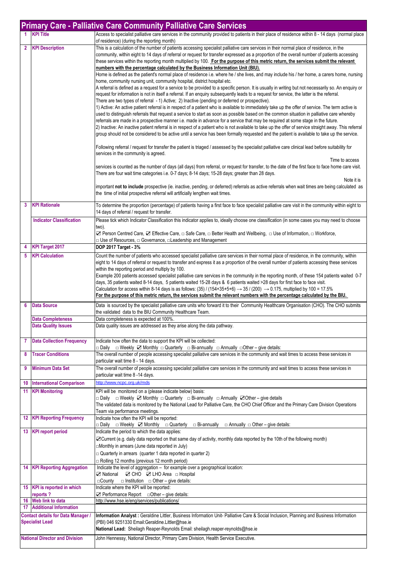|                     | <b>Primary Care - Palliative Care Community Palliative Care Services</b>                                                    |                                                                                                                                                                                                                                                                                                                                                                                                                                                                                                                                                                                                                                                                                                                                                                                                                                                                                                                                                                                                                                                                                                                                                                                                                                                                                                                                                                                                                                                                                                                                                                                                                                                                                                                                                                                                                                                                                                                                                                                                                                                                                                                                                                                                                                                                                                                                                                                                                                                                                                                                                                                                                                        |  |
|---------------------|-----------------------------------------------------------------------------------------------------------------------------|----------------------------------------------------------------------------------------------------------------------------------------------------------------------------------------------------------------------------------------------------------------------------------------------------------------------------------------------------------------------------------------------------------------------------------------------------------------------------------------------------------------------------------------------------------------------------------------------------------------------------------------------------------------------------------------------------------------------------------------------------------------------------------------------------------------------------------------------------------------------------------------------------------------------------------------------------------------------------------------------------------------------------------------------------------------------------------------------------------------------------------------------------------------------------------------------------------------------------------------------------------------------------------------------------------------------------------------------------------------------------------------------------------------------------------------------------------------------------------------------------------------------------------------------------------------------------------------------------------------------------------------------------------------------------------------------------------------------------------------------------------------------------------------------------------------------------------------------------------------------------------------------------------------------------------------------------------------------------------------------------------------------------------------------------------------------------------------------------------------------------------------------------------------------------------------------------------------------------------------------------------------------------------------------------------------------------------------------------------------------------------------------------------------------------------------------------------------------------------------------------------------------------------------------------------------------------------------------------------------------------------------|--|
|                     | <b>KPI Title</b>                                                                                                            | Access to specialist palliative care services in the community provided to patients in their place of residence within 8 - 14 days (normal place<br>of residence) (during the reporting month)                                                                                                                                                                                                                                                                                                                                                                                                                                                                                                                                                                                                                                                                                                                                                                                                                                                                                                                                                                                                                                                                                                                                                                                                                                                                                                                                                                                                                                                                                                                                                                                                                                                                                                                                                                                                                                                                                                                                                                                                                                                                                                                                                                                                                                                                                                                                                                                                                                         |  |
| $\overline{2}$      | <b>KPI Description</b>                                                                                                      | This is a calculation of the number of patients accessing specialist palliative care services in their normal place of residence, in the<br>community, within eight to 14 days of referral or request for transfer expressed as a proportion of the overall number of patients accessing<br>these services within the reporting month multiplied by 100. For the purpose of this metric return, the services submit the relevant<br>numbers with the percentage calculated by the Business Information Unit (BIU).<br>Home is defined as the patient's normal place of residence i.e. where he / she lives, and may include his / her home, a carers home, nursing<br>home, community nursing unit, community hospital, district hospital etc.<br>A referral is defined as a request for a service to be provided to a specific person. It is usually in writing but not necessarily so. An enquiry or<br>request for information is not in itself a referral. If an enquiry subsequently leads to a request for service, the latter is the referral.<br>There are two types of referral - 1) Active; 2) Inactive (pending or deferred or prospective).<br>1) Active: An active patient referral is in respect of a patient who is available to immediately take up the offer of service. The term active is<br>used to distinguish referrals that request a service to start as soon as possible based on the common situation in palliative care whereby<br>referrals are made in a prospective manner i.e. made in advance for a service that may be required at some stage in the future.<br>[2] Inactive: An inactive patient referral is in respect of a patient who is not available to take up the offer of service straight away. This referral<br>group should not be considered to be active until a service has been formally requested and the patient is available to take up the service.<br>Following referral / request for transfer the patient is triaged / assessed by the specialist palliative care clinical lead before suitability for<br>services in the community is agreed.<br>Time to access<br>services is counted as the number of days (all days) from referral, or request for transfer, to the date of the first face to face home care visit.<br>There are four wait time categories i.e. 0-7 days; 8-14 days; 15-28 days; greater than 28 days.<br>Note it is<br>important not to include prospective (ie. inactive, pending, or deferred) referrals as active referrals when wait times are being calculated as<br>the time of initial prospective referral will artificially lengthen wait times. |  |
| 3                   | <b>KPI Rationale</b>                                                                                                        | To determine the proportion (percentage) of patients having a first face to face specialist palliative care visit in the community within eight to                                                                                                                                                                                                                                                                                                                                                                                                                                                                                                                                                                                                                                                                                                                                                                                                                                                                                                                                                                                                                                                                                                                                                                                                                                                                                                                                                                                                                                                                                                                                                                                                                                                                                                                                                                                                                                                                                                                                                                                                                                                                                                                                                                                                                                                                                                                                                                                                                                                                                     |  |
|                     | <b>Indicator Classification</b>                                                                                             | 14 days of referral / request for transfer.<br>Please tick which Indicator Classification this indicator applies to, ideally choose one classification (in some cases you may need to choose                                                                                                                                                                                                                                                                                                                                                                                                                                                                                                                                                                                                                                                                                                                                                                                                                                                                                                                                                                                                                                                                                                                                                                                                                                                                                                                                                                                                                                                                                                                                                                                                                                                                                                                                                                                                                                                                                                                                                                                                                                                                                                                                                                                                                                                                                                                                                                                                                                           |  |
|                     |                                                                                                                             | two).<br><b>⊠</b> Person Centred Care, ⊠ Effective Care, □ Safe Care, □ Better Health and Wellbeing, □ Use of Information, □ Workforce,<br>□ Use of Resources, □ Governance, □ Leadership and Management                                                                                                                                                                                                                                                                                                                                                                                                                                                                                                                                                                                                                                                                                                                                                                                                                                                                                                                                                                                                                                                                                                                                                                                                                                                                                                                                                                                                                                                                                                                                                                                                                                                                                                                                                                                                                                                                                                                                                                                                                                                                                                                                                                                                                                                                                                                                                                                                                               |  |
| 4                   | <b>KPI Target 2017</b>                                                                                                      | DOP 2017 Target - 3%                                                                                                                                                                                                                                                                                                                                                                                                                                                                                                                                                                                                                                                                                                                                                                                                                                                                                                                                                                                                                                                                                                                                                                                                                                                                                                                                                                                                                                                                                                                                                                                                                                                                                                                                                                                                                                                                                                                                                                                                                                                                                                                                                                                                                                                                                                                                                                                                                                                                                                                                                                                                                   |  |
|                     |                                                                                                                             | Count the number of patients who accessed specialist palliative care services in their normal place of residence, in the community, within<br>eight to 14 days of referral or request to transfer and express it as a proportion of the overall number of patients accessing these services<br>within the reporting period and multiply by 100.<br>Example 200 patients accessed specialist palliative care services in the community in the reporting month, of these 154 patients waited 0-7<br>days, 35 patients waited 8-14 days, 5 patients waited 15-28 days & 6 patients waited >28 days for first face to face visit.<br>Calculation for access within 8-14 days is as follows: (35) / (154+35+5+6) $\rightarrow$ 35 / (200) $\rightarrow$ 0.175, multiplied by 100 = 17.5%<br>For the purpose of this metric return, the services submit the relevant numbers with the percentage calculated by the BIU.                                                                                                                                                                                                                                                                                                                                                                                                                                                                                                                                                                                                                                                                                                                                                                                                                                                                                                                                                                                                                                                                                                                                                                                                                                                                                                                                                                                                                                                                                                                                                                                                                                                                                                                      |  |
| 6                   | <b>Data Source</b>                                                                                                          | Data is sourced by the specialist palliative care units who forward it to their Community Healthcare Organisation (CHO). The CHO submits<br>the validated data to the BIU Community Healthcare Team.                                                                                                                                                                                                                                                                                                                                                                                                                                                                                                                                                                                                                                                                                                                                                                                                                                                                                                                                                                                                                                                                                                                                                                                                                                                                                                                                                                                                                                                                                                                                                                                                                                                                                                                                                                                                                                                                                                                                                                                                                                                                                                                                                                                                                                                                                                                                                                                                                                   |  |
|                     | <b>Data Completeness</b><br><b>Data Quality Issues</b>                                                                      | Data completeness is expected at 100%.<br>Data quality issues are addressed as they arise along the data pathway.                                                                                                                                                                                                                                                                                                                                                                                                                                                                                                                                                                                                                                                                                                                                                                                                                                                                                                                                                                                                                                                                                                                                                                                                                                                                                                                                                                                                                                                                                                                                                                                                                                                                                                                                                                                                                                                                                                                                                                                                                                                                                                                                                                                                                                                                                                                                                                                                                                                                                                                      |  |
| $\overline{7}$<br>8 | <b>Data Collection Frequency</b><br><b>Tracer Conditions</b>                                                                | Indicate how often the data to support the KPI will be collected:<br>□ Daily □ Weekly ☑ Monthly □ Quarterly □ Bi-annually □ Annually □ Other – give details:<br>The overall number of people accessing specialist palliative care services in the community and wait times to access these services in                                                                                                                                                                                                                                                                                                                                                                                                                                                                                                                                                                                                                                                                                                                                                                                                                                                                                                                                                                                                                                                                                                                                                                                                                                                                                                                                                                                                                                                                                                                                                                                                                                                                                                                                                                                                                                                                                                                                                                                                                                                                                                                                                                                                                                                                                                                                 |  |
|                     |                                                                                                                             | particular wait time 8 - 14 days.                                                                                                                                                                                                                                                                                                                                                                                                                                                                                                                                                                                                                                                                                                                                                                                                                                                                                                                                                                                                                                                                                                                                                                                                                                                                                                                                                                                                                                                                                                                                                                                                                                                                                                                                                                                                                                                                                                                                                                                                                                                                                                                                                                                                                                                                                                                                                                                                                                                                                                                                                                                                      |  |
| 9                   | <b>Minimum Data Set</b>                                                                                                     | The overall number of people accessing specialist palliative care services in the community and wait times to access these services in<br>particular wait time 8 -14 days.                                                                                                                                                                                                                                                                                                                                                                                                                                                                                                                                                                                                                                                                                                                                                                                                                                                                                                                                                                                                                                                                                                                                                                                                                                                                                                                                                                                                                                                                                                                                                                                                                                                                                                                                                                                                                                                                                                                                                                                                                                                                                                                                                                                                                                                                                                                                                                                                                                                             |  |
| 10<br>11            | <b>International Comparison</b><br><b>KPI Monitoring</b>                                                                    | http://www.ncpc.org.uk/mds<br>KPI will be monitored on a (please indicate below) basis:                                                                                                                                                                                                                                                                                                                                                                                                                                                                                                                                                                                                                                                                                                                                                                                                                                                                                                                                                                                                                                                                                                                                                                                                                                                                                                                                                                                                                                                                                                                                                                                                                                                                                                                                                                                                                                                                                                                                                                                                                                                                                                                                                                                                                                                                                                                                                                                                                                                                                                                                                |  |
|                     |                                                                                                                             | □ Daily □ Weekly ☑ Monthly □ Quarterly □ Bi-annually □ Annually ☑ Other – give details<br>The validated data is monitored by the National Lead for Palliative Care, the CHO Chief Officer and the Primary Care Division Operations<br>Team via performance meetings.                                                                                                                                                                                                                                                                                                                                                                                                                                                                                                                                                                                                                                                                                                                                                                                                                                                                                                                                                                                                                                                                                                                                                                                                                                                                                                                                                                                                                                                                                                                                                                                                                                                                                                                                                                                                                                                                                                                                                                                                                                                                                                                                                                                                                                                                                                                                                                   |  |
|                     | <b>12 KPI Reporting Frequency</b>                                                                                           | Indicate how often the KPI will be reported:<br>$\Box$ Daily $\Box$ Weekly $\Box$ Monthly $\Box$ Quarterly<br>$\Box$ Bi-annually $\Box$ Annually $\Box$ Other – give details:                                                                                                                                                                                                                                                                                                                                                                                                                                                                                                                                                                                                                                                                                                                                                                                                                                                                                                                                                                                                                                                                                                                                                                                                                                                                                                                                                                                                                                                                                                                                                                                                                                                                                                                                                                                                                                                                                                                                                                                                                                                                                                                                                                                                                                                                                                                                                                                                                                                          |  |
| 13                  | <b>KPI report period</b>                                                                                                    | Indicate the period to which the data applies:<br>⊠ Current (e.g. daily data reported on that same day of activity, monthly data reported by the 10th of the following month)<br>Monthly in arrears (June data reported in July)<br>$\Box$ Quarterly in arrears (quarter 1 data reported in quarter 2)<br>Rolling 12 months (previous 12 month period)                                                                                                                                                                                                                                                                                                                                                                                                                                                                                                                                                                                                                                                                                                                                                                                                                                                                                                                                                                                                                                                                                                                                                                                                                                                                                                                                                                                                                                                                                                                                                                                                                                                                                                                                                                                                                                                                                                                                                                                                                                                                                                                                                                                                                                                                                 |  |
|                     | <b>14 KPI Reporting Aggregation</b>                                                                                         | Indicate the level of aggregation - for example over a geographical location:<br><b>⊠</b> National<br>☑ CHO ☑ LHO Area □ Hospital<br>⊟County<br>$\Box$ Institution $\Box$ Other – give details:                                                                                                                                                                                                                                                                                                                                                                                                                                                                                                                                                                                                                                                                                                                                                                                                                                                                                                                                                                                                                                                                                                                                                                                                                                                                                                                                                                                                                                                                                                                                                                                                                                                                                                                                                                                                                                                                                                                                                                                                                                                                                                                                                                                                                                                                                                                                                                                                                                        |  |
|                     | 15 KPI is reported in which<br>reports?                                                                                     | Indicate where the KPI will be reported:<br>$\Box$ Performance Report $\Box$ Other – give details:                                                                                                                                                                                                                                                                                                                                                                                                                                                                                                                                                                                                                                                                                                                                                                                                                                                                                                                                                                                                                                                                                                                                                                                                                                                                                                                                                                                                                                                                                                                                                                                                                                                                                                                                                                                                                                                                                                                                                                                                                                                                                                                                                                                                                                                                                                                                                                                                                                                                                                                                     |  |
| 16<br>17            | Web link to data<br><b>Additional Information</b>                                                                           | http://www.hse.ie/eng/services/publications/                                                                                                                                                                                                                                                                                                                                                                                                                                                                                                                                                                                                                                                                                                                                                                                                                                                                                                                                                                                                                                                                                                                                                                                                                                                                                                                                                                                                                                                                                                                                                                                                                                                                                                                                                                                                                                                                                                                                                                                                                                                                                                                                                                                                                                                                                                                                                                                                                                                                                                                                                                                           |  |
|                     | <b>Contact details for Data Manager /</b><br><b>Specialist Lead</b>                                                         | Information Analyst: Geraldine Littler, Business Information Unit- Palliative Care & Social Inclusion, Planning and Business Information<br>(PBI) 046 9251330 Email:Geraldine.Littler@hse.ie<br>National Lead: Sheilagh Reaper-Reynolds Email: sheilagh.reaper-reynolds@hse.ie                                                                                                                                                                                                                                                                                                                                                                                                                                                                                                                                                                                                                                                                                                                                                                                                                                                                                                                                                                                                                                                                                                                                                                                                                                                                                                                                                                                                                                                                                                                                                                                                                                                                                                                                                                                                                                                                                                                                                                                                                                                                                                                                                                                                                                                                                                                                                         |  |
|                     | <b>National Director and Division</b><br>John Hennessy, National Director, Primary Care Division, Health Service Executive. |                                                                                                                                                                                                                                                                                                                                                                                                                                                                                                                                                                                                                                                                                                                                                                                                                                                                                                                                                                                                                                                                                                                                                                                                                                                                                                                                                                                                                                                                                                                                                                                                                                                                                                                                                                                                                                                                                                                                                                                                                                                                                                                                                                                                                                                                                                                                                                                                                                                                                                                                                                                                                                        |  |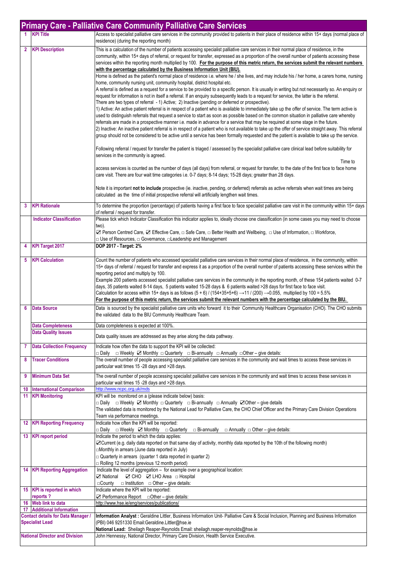|                                                                     |                                                         | <b>Primary Care - Palliative Care Community Palliative Care Services</b>                                                                                                                                                                                                                                                                                                                                                                                                                                                                                                                                                                                                                                                                                                                                                                                                                                                                                                                                                                                                                                                                              |
|---------------------------------------------------------------------|---------------------------------------------------------|-------------------------------------------------------------------------------------------------------------------------------------------------------------------------------------------------------------------------------------------------------------------------------------------------------------------------------------------------------------------------------------------------------------------------------------------------------------------------------------------------------------------------------------------------------------------------------------------------------------------------------------------------------------------------------------------------------------------------------------------------------------------------------------------------------------------------------------------------------------------------------------------------------------------------------------------------------------------------------------------------------------------------------------------------------------------------------------------------------------------------------------------------------|
|                                                                     | <b>KPI Title</b>                                        | Access to specialist palliative care services in the community provided to patients in their place of residence within 15+ days (normal place of<br>residence) (during the reporting month)                                                                                                                                                                                                                                                                                                                                                                                                                                                                                                                                                                                                                                                                                                                                                                                                                                                                                                                                                           |
| $\overline{2}$                                                      | <b>KPI Description</b>                                  | This is a calculation of the number of patients accessing specialist palliative care services in their normal place of residence, in the<br>community, within 15+ days of referral, or request for transfer, expressed as a proportion of the overall number of patients accessing these<br>services within the reporting month multiplied by 100. For the purpose of this metric return, the services submit the relevant numbers<br>with the percentage calculated by the Business Information Unit (BIU).<br>Home is defined as the patient's normal place of residence i.e. where he / she lives, and may include his / her home, a carers home, nursing<br>home, community nursing unit, community hospital, district hospital etc.                                                                                                                                                                                                                                                                                                                                                                                                              |
|                                                                     |                                                         | A referral is defined as a request for a service to be provided to a specific person. It is usually in writing but not necessarily so. An enquiry or<br>request for information is not in itself a referral. If an enquiry subsequently leads to a request for service, the latter is the referral.<br>There are two types of referral - 1) Active; 2) Inactive (pending or deferred or prospective).<br>1) Active: An active patient referral is in respect of a patient who is available to immediately take up the offer of service. The term active is<br>used to distinguish referrals that request a service to start as soon as possible based on the common situation in palliative care whereby<br>referrals are made in a prospective manner i.e. made in advance for a service that may be required at some stage in the future.<br>2) Inactive: An inactive patient referral is in respect of a patient who is not available to take up the offer of service straight away. This referral<br>group should not be considered to be active until a service has been formally requested and the patient is available to take up the service. |
|                                                                     |                                                         | Following referral / request for transfer the patient is triaged / assessed by the specialist palliative care clinical lead before suitability for<br>services in the community is agreed.<br>Time to                                                                                                                                                                                                                                                                                                                                                                                                                                                                                                                                                                                                                                                                                                                                                                                                                                                                                                                                                 |
|                                                                     |                                                         | access services is counted as the number of days (all days) from referral, or request for transfer, to the date of the first face to face home<br>care visit. There are four wait time categories i.e. 0-7 days; 8-14 days; 15-28 days; greater than 28 days.                                                                                                                                                                                                                                                                                                                                                                                                                                                                                                                                                                                                                                                                                                                                                                                                                                                                                         |
|                                                                     |                                                         | Note it is important not to include prospective (ie. inactive, pending, or deferred) referrals as active referrals when wait times are being<br>calculated as the time of initial prospective referral will artificially lengthen wait times.                                                                                                                                                                                                                                                                                                                                                                                                                                                                                                                                                                                                                                                                                                                                                                                                                                                                                                         |
| 3                                                                   | <b>KPI Rationale</b>                                    | To determine the proportion (percentage) of patients having a first face to face specialist palliative care visit in the community within 15+ days<br>of referral / request for transfer.                                                                                                                                                                                                                                                                                                                                                                                                                                                                                                                                                                                                                                                                                                                                                                                                                                                                                                                                                             |
|                                                                     | <b>Indicator Classification</b>                         | Please tick which Indicator Classification this indicator applies to, ideally choose one classification (in some cases you may need to choose<br>two).                                                                                                                                                                                                                                                                                                                                                                                                                                                                                                                                                                                                                                                                                                                                                                                                                                                                                                                                                                                                |
|                                                                     |                                                         | <b>⊠</b> Person Centred Care, ⊠ Effective Care, □ Safe Care, □ Better Health and Wellbeing, □ Use of Information, □ Workforce,<br>□ Use of Resources, □ Governance, □ Leadership and Management                                                                                                                                                                                                                                                                                                                                                                                                                                                                                                                                                                                                                                                                                                                                                                                                                                                                                                                                                       |
| 4                                                                   | KPI Target 2017                                         | DOP 2017 - Target: 2%                                                                                                                                                                                                                                                                                                                                                                                                                                                                                                                                                                                                                                                                                                                                                                                                                                                                                                                                                                                                                                                                                                                                 |
| 5                                                                   | <b>KPI Calculation</b>                                  | Count the number of patients who accessed specialist palliative care services in their normal place of residence, in the community, within<br>15+ days of referral / request for transfer and express it as a proportion of the overall number of patients accessing these services within the<br>reporting period and multiply by 100.<br>Example 200 patients accessed specialist palliative care services in the community in the reporting month, of these 154 patients waited 0-7<br>days, 35 patients waited 8-14 days, 5 patients waited 15-28 days & 6 patients waited >28 days for first face to face visit.<br>Calculation for access within 15+ days is as follows $(5 + 6)$ / (154+35+5+6) $\rightarrow$ 11 / (200) $\rightarrow$ 0.055, multiplied by 100 = 5.5%<br>For the purpose of this metric return, the services submit the relevant numbers with the percentage calculated by the BIU.                                                                                                                                                                                                                                           |
| 6                                                                   | <b>Data Source</b>                                      | Data is sourced by the specialist palliative care units who forward it to their Community Healthcare Organisation (CHO). The CHO submits<br>the validated data to the BIU Community Healthcare Team.                                                                                                                                                                                                                                                                                                                                                                                                                                                                                                                                                                                                                                                                                                                                                                                                                                                                                                                                                  |
|                                                                     | <b>Data Completeness</b>                                | Data completeness is expected at 100%.                                                                                                                                                                                                                                                                                                                                                                                                                                                                                                                                                                                                                                                                                                                                                                                                                                                                                                                                                                                                                                                                                                                |
|                                                                     | <b>Data Quality Issues</b>                              | Data quality issues are addressed as they arise along the data pathway.                                                                                                                                                                                                                                                                                                                                                                                                                                                                                                                                                                                                                                                                                                                                                                                                                                                                                                                                                                                                                                                                               |
| 7                                                                   | <b>Data Collection Frequency</b>                        | Indicate how often the data to support the KPI will be collected:<br>$\Box$ Daily $\Box$ Weekly $\Box$ Monthly $\Box$ Quarterly $\Box$ Bi-annually $\Box$ Annually $\Box$ Other – give details:                                                                                                                                                                                                                                                                                                                                                                                                                                                                                                                                                                                                                                                                                                                                                                                                                                                                                                                                                       |
| 8                                                                   | <b>Tracer Conditions</b>                                | The overall number of people accessing specialist palliative care services in the community and wait times to access these services in<br>particular wait times 15 -28 days and >28 days.                                                                                                                                                                                                                                                                                                                                                                                                                                                                                                                                                                                                                                                                                                                                                                                                                                                                                                                                                             |
| 9                                                                   | <b>Minimum Data Set</b>                                 | The overall number of people accessing specialist palliative care services in the community and wait times to access these services in<br>particular wait times 15 -28 days and >28 days.                                                                                                                                                                                                                                                                                                                                                                                                                                                                                                                                                                                                                                                                                                                                                                                                                                                                                                                                                             |
| 10                                                                  | <b>International Comparison</b><br>11 KPI Monitoring    | http://www.ncpc.org.uk/mds<br>KPI will be monitored on a (please indicate below) basis:<br>□ Daily □ Weekly ☑ Monthly □ Quarterly □ Bi-annually □ Annually ☑ Other – give details<br>The validated data is monitored by the National Lead for Palliative Care, the CHO Chief Officer and the Primary Care Division Operations<br>Team via performance meetings.                                                                                                                                                                                                                                                                                                                                                                                                                                                                                                                                                                                                                                                                                                                                                                                       |
|                                                                     | <b>12 KPI Reporting Frequency</b>                       | Indicate how often the KPI will be reported:<br>□ Daily □ Weekly ■ Monthly □ Quarterly<br>$\Box$ Annually $\Box$ Other – give details:<br>$\Box$ Bi-annually                                                                                                                                                                                                                                                                                                                                                                                                                                                                                                                                                                                                                                                                                                                                                                                                                                                                                                                                                                                          |
|                                                                     | 13 KPI report period                                    | Indicate the period to which the data applies:<br>○ Current (e.g. daily data reported on that same day of activity, monthly data reported by the 10th of the following month)<br>□Monthly in arrears (June data reported in July)<br>$\Box$ Quarterly in arrears (quarter 1 data reported in quarter 2)<br>$\Box$ Rolling 12 months (previous 12 month period)                                                                                                                                                                                                                                                                                                                                                                                                                                                                                                                                                                                                                                                                                                                                                                                        |
|                                                                     | 14 KPI Reporting Aggregation                            | Indicate the level of aggregation - for example over a geographical location:<br>⊠ National ⊠ CHO ⊠ LHO Area □ Hospital<br>$\Box$ County $\Box$ Institution $\Box$ Other – give details:                                                                                                                                                                                                                                                                                                                                                                                                                                                                                                                                                                                                                                                                                                                                                                                                                                                                                                                                                              |
|                                                                     | 15 KPI is reported in which<br>reports?                 | Indicate where the KPI will be reported:<br>$\Box$ Performance Report $\Box$ Other – give details:                                                                                                                                                                                                                                                                                                                                                                                                                                                                                                                                                                                                                                                                                                                                                                                                                                                                                                                                                                                                                                                    |
|                                                                     | 16 Web link to data<br><b>17</b> Additional Information | http://www.hse.ie/eng/services/publications/                                                                                                                                                                                                                                                                                                                                                                                                                                                                                                                                                                                                                                                                                                                                                                                                                                                                                                                                                                                                                                                                                                          |
| <b>Contact details for Data Manager /</b><br><b>Specialist Lead</b> |                                                         | Information Analyst : Geraldine Littler, Business Information Unit- Palliative Care & Social Inclusion, Planning and Business Information<br>(PBI) 046 9251330 Email:Geraldine.Littler@hse.ie<br>National Lead: Sheilagh Reaper-Reynolds Email: sheilagh.reaper-reynolds@hse.ie                                                                                                                                                                                                                                                                                                                                                                                                                                                                                                                                                                                                                                                                                                                                                                                                                                                                       |
| <b>National Director and Division</b>                               |                                                         | John Hennessy, National Director, Primary Care Division, Health Service Executive.                                                                                                                                                                                                                                                                                                                                                                                                                                                                                                                                                                                                                                                                                                                                                                                                                                                                                                                                                                                                                                                                    |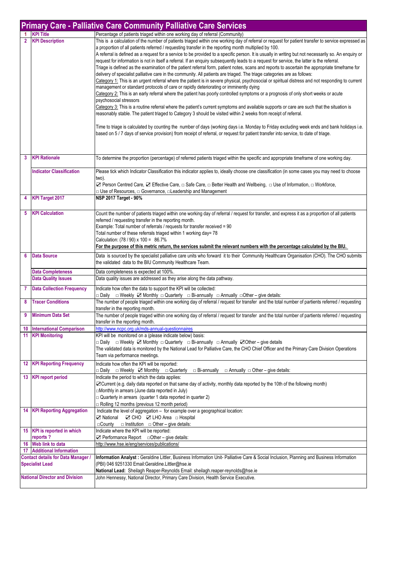|                                                                     | <b>Primary Care - Palliative Care Community Palliative Care Services</b> |                                                                                                                                                                                                                                                                                                                                                                                                                                                                                                                                                                                                                                                                                                                                                                                                                                                                                                                                                                                                                                                                                                                                                                                                                                                                                                                                                                                                                                                                                                                                                                                                                                                                                                                                                                                                                     |  |  |
|---------------------------------------------------------------------|--------------------------------------------------------------------------|---------------------------------------------------------------------------------------------------------------------------------------------------------------------------------------------------------------------------------------------------------------------------------------------------------------------------------------------------------------------------------------------------------------------------------------------------------------------------------------------------------------------------------------------------------------------------------------------------------------------------------------------------------------------------------------------------------------------------------------------------------------------------------------------------------------------------------------------------------------------------------------------------------------------------------------------------------------------------------------------------------------------------------------------------------------------------------------------------------------------------------------------------------------------------------------------------------------------------------------------------------------------------------------------------------------------------------------------------------------------------------------------------------------------------------------------------------------------------------------------------------------------------------------------------------------------------------------------------------------------------------------------------------------------------------------------------------------------------------------------------------------------------------------------------------------------|--|--|
|                                                                     | <b>KPI Title</b>                                                         | Percentage of patients triaged within one working day of referral (Community)                                                                                                                                                                                                                                                                                                                                                                                                                                                                                                                                                                                                                                                                                                                                                                                                                                                                                                                                                                                                                                                                                                                                                                                                                                                                                                                                                                                                                                                                                                                                                                                                                                                                                                                                       |  |  |
| $\overline{2}$                                                      | <b>KPI Description</b>                                                   | This is a calculation of the number of patients triaged within one working day of referral or request for patient transfer to service expressed as<br>a proportion of all patients referred / requesting transfer in the reporting month multiplied by 100.<br>A referral is defined as a request for a service to be provided to a specific person. It is usually in writing but not necessarily so. An enquiry or<br>request for information is not in itself a referral. If an enquiry subsequently leads to a request for service, the latter is the referral.<br>Triage is defined as the examination of the patient referral form, patient notes, scans and reports to ascertain the appropriate timeframe for<br>delivery of specialist palliative care in the community. All patients are triaged. The triage categories are as follows:<br>Category 1: This is an urgent referral where the patient is in severe physical, psychosocial or spiritual distress and not responding to current<br>management or standard protocols of care or rapidly deteriorating or imminently dying<br>Category 2: This is an early referral where the patient has poorly controlled symptoms or a prognosis of only short weeks or acute<br>psychosocial stressors<br>Category 3: This is a routine referral where the patient's current symptoms and available supports or care are such that the situation is<br>reasonably stable. The patient triaged to Category 3 should be visited within 2 weeks from receipt of referral.<br>Time to triage is calculated by counting the number of days (working days i.e. Monday to Friday excluding week ends and bank holidays i.e.<br>based on 5 / 7 days of service provision) from receipt of referral, or request for patient transfer into service, to date of triage. |  |  |
| 3                                                                   | <b>KPI Rationale</b>                                                     | To determine the proportion (percentage) of referred patients triaged within the specific and appropriate timeframe of one working day.                                                                                                                                                                                                                                                                                                                                                                                                                                                                                                                                                                                                                                                                                                                                                                                                                                                                                                                                                                                                                                                                                                                                                                                                                                                                                                                                                                                                                                                                                                                                                                                                                                                                             |  |  |
|                                                                     | <b>Indicator Classification</b>                                          | Please tick which Indicator Classification this indicator applies to, ideally choose one classification (in some cases you may need to choose<br>two).<br>⊠ Person Centred Care, ⊠ Effective Care, □ Safe Care, □ Better Health and Wellbeing, □ Use of Information, □ Workforce,                                                                                                                                                                                                                                                                                                                                                                                                                                                                                                                                                                                                                                                                                                                                                                                                                                                                                                                                                                                                                                                                                                                                                                                                                                                                                                                                                                                                                                                                                                                                   |  |  |
| 4                                                                   | <b>KPI Target 2017</b>                                                   | □ Use of Resources, □ Governance, □ Leadership and Management<br><b>NSP 2017 Target - 90%</b>                                                                                                                                                                                                                                                                                                                                                                                                                                                                                                                                                                                                                                                                                                                                                                                                                                                                                                                                                                                                                                                                                                                                                                                                                                                                                                                                                                                                                                                                                                                                                                                                                                                                                                                       |  |  |
| 5                                                                   | <b>KPI Calculation</b>                                                   | Count the number of patients triaged within one working day of referral / request for transfer, and express it as a proportion of all patients<br>referred / requesting transfer in the reporting month.<br>Example: Total number of referrals / requests for transfer received = 90<br>Total number of these referrals triaged within 1 working day= 78<br>Calculation: (78 / 90) x 100 = 86.7%<br>For the purpose of this metric return, the services submit the relevant numbers with the percentage calculated by the BIU.                                                                                                                                                                                                                                                                                                                                                                                                                                                                                                                                                                                                                                                                                                                                                                                                                                                                                                                                                                                                                                                                                                                                                                                                                                                                                      |  |  |
| 6                                                                   | <b>Data Source</b>                                                       | Data is sourced by the specialist palliative care units who forward it to their Community Healthcare Organisation (CHO). The CHO submits<br>the validated data to the BIU Community Healthcare Team.                                                                                                                                                                                                                                                                                                                                                                                                                                                                                                                                                                                                                                                                                                                                                                                                                                                                                                                                                                                                                                                                                                                                                                                                                                                                                                                                                                                                                                                                                                                                                                                                                |  |  |
|                                                                     | <b>Data Completeness</b><br><b>Data Quality Issues</b>                   | Data completeness is expected at 100%.<br>Data quality issues are addressed as they arise along the data pathway.                                                                                                                                                                                                                                                                                                                                                                                                                                                                                                                                                                                                                                                                                                                                                                                                                                                                                                                                                                                                                                                                                                                                                                                                                                                                                                                                                                                                                                                                                                                                                                                                                                                                                                   |  |  |
| $\overline{7}$                                                      | <b>Data Collection Frequency</b>                                         |                                                                                                                                                                                                                                                                                                                                                                                                                                                                                                                                                                                                                                                                                                                                                                                                                                                                                                                                                                                                                                                                                                                                                                                                                                                                                                                                                                                                                                                                                                                                                                                                                                                                                                                                                                                                                     |  |  |
| 8                                                                   | <b>Tracer Conditions</b>                                                 | Indicate how often the data to support the KPI will be collected:<br>□ Daily □ Weekly ☑ Monthly □ Quarterly □ Bi-annually □ Annually □ Other – give details:<br>The number of people triaged within one working day of referral / request for transfer and the total number of partients referred / requesting<br>transfer in the reporting month.                                                                                                                                                                                                                                                                                                                                                                                                                                                                                                                                                                                                                                                                                                                                                                                                                                                                                                                                                                                                                                                                                                                                                                                                                                                                                                                                                                                                                                                                  |  |  |
| 9                                                                   | <b>Minimum Data Set</b>                                                  | The number of people triaged within one working day of referral / request for transfer and the total number of partients referred / requesting<br>transfer in the reporting month.                                                                                                                                                                                                                                                                                                                                                                                                                                                                                                                                                                                                                                                                                                                                                                                                                                                                                                                                                                                                                                                                                                                                                                                                                                                                                                                                                                                                                                                                                                                                                                                                                                  |  |  |
| 10                                                                  | <b>International Comparison</b>                                          | http://www.ncpc.org.uk/mds-annual-questionnaires                                                                                                                                                                                                                                                                                                                                                                                                                                                                                                                                                                                                                                                                                                                                                                                                                                                                                                                                                                                                                                                                                                                                                                                                                                                                                                                                                                                                                                                                                                                                                                                                                                                                                                                                                                    |  |  |
|                                                                     | 11 KPI Monitoring                                                        | KPI will be monitored on a (please indicate below) basis:<br>$\Box$ Daily $\Box$ Weekly $\Box$ Monthly $\Box$ Quarterly $\Box$ Bi-annually $\Box$ Annually $\Box$ Other – give details<br>The validated data is monitored by the National Lead for Palliative Care, the CHO Chief Officer and the Primary Care Division Operations<br>Team via performance meetings.                                                                                                                                                                                                                                                                                                                                                                                                                                                                                                                                                                                                                                                                                                                                                                                                                                                                                                                                                                                                                                                                                                                                                                                                                                                                                                                                                                                                                                                |  |  |
|                                                                     | <b>12 KPI Reporting Frequency</b>                                        | Indicate how often the KPI will be reported:<br>□ Daily □ Weekly ☑ Monthly □ Quarterly<br>$\Box$ Annually $\Box$ Other – give details:<br>$\Box$ Bi-annually                                                                                                                                                                                                                                                                                                                                                                                                                                                                                                                                                                                                                                                                                                                                                                                                                                                                                                                                                                                                                                                                                                                                                                                                                                                                                                                                                                                                                                                                                                                                                                                                                                                        |  |  |
|                                                                     | 13 KPI report period                                                     | Indicate the period to which the data applies:<br>☑ Current (e.g. daily data reported on that same day of activity, monthly data reported by the 10th of the following month)<br>Monthly in arrears (June data reported in July)<br>$\Box$ Quarterly in arrears (quarter 1 data reported in quarter 2)<br>Rolling 12 months (previous 12 month period)                                                                                                                                                                                                                                                                                                                                                                                                                                                                                                                                                                                                                                                                                                                                                                                                                                                                                                                                                                                                                                                                                                                                                                                                                                                                                                                                                                                                                                                              |  |  |
| 14                                                                  | <b>KPI Reporting Aggregation</b>                                         | Indicate the level of aggregation - for example over a geographical location:<br>⊠ National ⊠ CHO ⊠ LHO Area □ Hospital<br>$\Box$ County $\Box$ Institution $\Box$ Other – give details:                                                                                                                                                                                                                                                                                                                                                                                                                                                                                                                                                                                                                                                                                                                                                                                                                                                                                                                                                                                                                                                                                                                                                                                                                                                                                                                                                                                                                                                                                                                                                                                                                            |  |  |
|                                                                     | 15 KPI is reported in which<br>reports?                                  | Indicate where the KPI will be reported:<br>$\Box$ Performance Report $\Box$ Other – give details:                                                                                                                                                                                                                                                                                                                                                                                                                                                                                                                                                                                                                                                                                                                                                                                                                                                                                                                                                                                                                                                                                                                                                                                                                                                                                                                                                                                                                                                                                                                                                                                                                                                                                                                  |  |  |
| 16                                                                  | Web link to data                                                         | http://www.hse.ie/eng/services/publications/                                                                                                                                                                                                                                                                                                                                                                                                                                                                                                                                                                                                                                                                                                                                                                                                                                                                                                                                                                                                                                                                                                                                                                                                                                                                                                                                                                                                                                                                                                                                                                                                                                                                                                                                                                        |  |  |
| 17                                                                  | <b>Additional Information</b>                                            |                                                                                                                                                                                                                                                                                                                                                                                                                                                                                                                                                                                                                                                                                                                                                                                                                                                                                                                                                                                                                                                                                                                                                                                                                                                                                                                                                                                                                                                                                                                                                                                                                                                                                                                                                                                                                     |  |  |
| <b>Contact details for Data Manager /</b><br><b>Specialist Lead</b> |                                                                          | Information Analyst: Geraldine Littler, Business Information Unit- Palliative Care & Social Inclusion, Planning and Business Information<br>(PBI) 046 9251330 Email:Geraldine.Littler@hse.ie<br>National Lead: Sheilagh Reaper-Reynolds Email: sheilagh.reaper-reynolds@hse.ie                                                                                                                                                                                                                                                                                                                                                                                                                                                                                                                                                                                                                                                                                                                                                                                                                                                                                                                                                                                                                                                                                                                                                                                                                                                                                                                                                                                                                                                                                                                                      |  |  |
| <b>National Director and Division</b>                               |                                                                          | John Hennessy, National Director, Primary Care Division, Health Service Executive.                                                                                                                                                                                                                                                                                                                                                                                                                                                                                                                                                                                                                                                                                                                                                                                                                                                                                                                                                                                                                                                                                                                                                                                                                                                                                                                                                                                                                                                                                                                                                                                                                                                                                                                                  |  |  |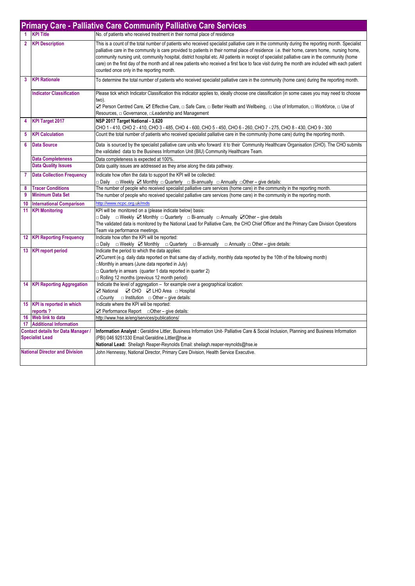|                                                                     | <b>Primary Care - Palliative Care Community Palliative Care Services</b> |                                                                                                                                                                                                                                                                                                                                                                                                                                                                                                                                                                                                                                                     |  |
|---------------------------------------------------------------------|--------------------------------------------------------------------------|-----------------------------------------------------------------------------------------------------------------------------------------------------------------------------------------------------------------------------------------------------------------------------------------------------------------------------------------------------------------------------------------------------------------------------------------------------------------------------------------------------------------------------------------------------------------------------------------------------------------------------------------------------|--|
|                                                                     | 1 KPI Title                                                              | No. of patients who received treatment in their normal place of residence                                                                                                                                                                                                                                                                                                                                                                                                                                                                                                                                                                           |  |
| $\overline{2}$                                                      | <b>KPI Description</b>                                                   | This is a count of the total number of patients who received specialist palliative care in the community during the reporting month. Specialist<br>palliative care in the community is care provided to patients in their normal place of residence i.e. their home, carers home, nursing home,<br>community nursing unit, community hospital, district hospital etc. All patients in receipt of specialist palliative care in the community (home<br>care) on the first day of the month and all new patients who received a first face to face visit during the month are included with each patient<br>counted once only in the reporting month. |  |
| 3                                                                   | <b>KPI Rationale</b>                                                     | To determine the total number of patients who received specialist palliative care in the community (home care) during the reporting month.                                                                                                                                                                                                                                                                                                                                                                                                                                                                                                          |  |
|                                                                     | <b>Indicator Classification</b>                                          | Please tick which Indicator Classification this indicator applies to, ideally choose one classification (in some cases you may need to choose<br>two).<br>Z Person Centred Care, Z Effective Care, □ Safe Care, □ Better Health and Wellbeing, □ Use of Information, □ Workforce, □ Use of<br>Resources, $\Box$ Governance, $\Box$ Leadership and Management                                                                                                                                                                                                                                                                                        |  |
| 4                                                                   | <b>KPI Target 2017</b>                                                   | NSP 2017 Target National - 3,620<br>CHO 1 - 410, CHO 2 - 410, CHO 3 - 485, CHO 4 - 600, CHO 5 - 450, CHO 6 - 260, CHO 7 - 275, CHO 8 - 430, CHO 9 - 300                                                                                                                                                                                                                                                                                                                                                                                                                                                                                             |  |
| 5                                                                   | <b>KPI Calculation</b>                                                   | Count the total number of patients who received specialist palliative care in the community (home care) during the reporting month.                                                                                                                                                                                                                                                                                                                                                                                                                                                                                                                 |  |
| 6                                                                   | <b>Data Source</b>                                                       | Data is sourced by the specialist palliative care units who forward it to their Community Healthcare Organisation (CHO). The CHO submits<br>the validated data to the Business Information Unit (BIU) Community Healthcare Team.                                                                                                                                                                                                                                                                                                                                                                                                                    |  |
|                                                                     | <b>Data Completeness</b>                                                 | Data completeness is expected at 100%.                                                                                                                                                                                                                                                                                                                                                                                                                                                                                                                                                                                                              |  |
|                                                                     | <b>Data Quality Issues</b>                                               | Data quality issues are addressed as they arise along the data pathway.                                                                                                                                                                                                                                                                                                                                                                                                                                                                                                                                                                             |  |
| 7                                                                   | <b>Data Collection Frequency</b>                                         | Indicate how often the data to support the KPI will be collected:<br>□ Daily □ Weekly ☑ Monthly □ Quarterly □ Bi-annually □ Annually □ Other – give details:                                                                                                                                                                                                                                                                                                                                                                                                                                                                                        |  |
| 8                                                                   | <b>Tracer Conditions</b>                                                 | The number of people who received specialist palliative care services (home care) in the community in the reporting month.                                                                                                                                                                                                                                                                                                                                                                                                                                                                                                                          |  |
| 9                                                                   | <b>Minimum Data Set</b>                                                  | The number of people who received specialist palliative care services (home care) in the community in the reporting month.                                                                                                                                                                                                                                                                                                                                                                                                                                                                                                                          |  |
| 10                                                                  | <b>International Comparison</b>                                          | http://www.ncpc.org.uk/mds                                                                                                                                                                                                                                                                                                                                                                                                                                                                                                                                                                                                                          |  |
| 11                                                                  | <b>KPI Monitoring</b>                                                    | KPI will be monitored on a (please indicate below) basis:<br>□ Daily □ Weekly Z Monthly □ Quarterly □ Bi-annually □ Annually ZOther – give details<br>The validated data is monitored by the National Lead for Palliative Care, the CHO Chief Officer and the Primary Care Division Operations<br>Team via performance meetings.                                                                                                                                                                                                                                                                                                                    |  |
|                                                                     | <b>12 KPI Reporting Frequency</b>                                        | Indicate how often the KPI will be reported:<br>$\Box$ Daily $\Box$ Weekly $\Box$ Monthly $\Box$ Quarterly $\Box$ Bi-annually $\Box$ Annually $\Box$ Other – give details:                                                                                                                                                                                                                                                                                                                                                                                                                                                                          |  |
|                                                                     | 13 KPI report period                                                     | Indicate the period to which the data applies:<br>⊠ Current (e.g. daily data reported on that same day of activity, monthly data reported by the 10th of the following month)<br>□Monthly in arrears (June data reported in July)<br>$\Box$ Quarterly in arrears (quarter 1 data reported in quarter 2)<br>Rolling 12 months (previous 12 month period)                                                                                                                                                                                                                                                                                             |  |
|                                                                     | <b>14 KPI Reporting Aggregation</b>                                      | Indicate the level of aggregation - for example over a geographical location:<br>⊠ National ⊠ CHO ⊠ LHO Area □ Hospital<br>$\Box$ County $\Box$ Institution $\Box$ Other – give details:                                                                                                                                                                                                                                                                                                                                                                                                                                                            |  |
|                                                                     | 15 KPI is reported in which                                              | Indicate where the KPI will be reported:                                                                                                                                                                                                                                                                                                                                                                                                                                                                                                                                                                                                            |  |
|                                                                     | reports?                                                                 | $\Box$ Performance Report $\Box$ Other – give details:                                                                                                                                                                                                                                                                                                                                                                                                                                                                                                                                                                                              |  |
| 16                                                                  | Web link to data                                                         | http://www.hse.ie/eng/services/publications/                                                                                                                                                                                                                                                                                                                                                                                                                                                                                                                                                                                                        |  |
|                                                                     | 17 Additional Information                                                |                                                                                                                                                                                                                                                                                                                                                                                                                                                                                                                                                                                                                                                     |  |
| <b>Contact details for Data Manager /</b><br><b>Specialist Lead</b> |                                                                          | Information Analyst : Geraldine Littler, Business Information Unit- Palliative Care & Social Inclusion, Planning and Business Information<br>(PBI) 046 9251330 Email:Geraldine.Littler@hse.ie<br>National Lead: Sheilagh Reaper-Reynolds Email: sheilagh.reaper-reynolds@hse.ie                                                                                                                                                                                                                                                                                                                                                                     |  |
| <b>National Director and Division</b>                               |                                                                          | John Hennessy, National Director, Primary Care Division, Health Service Executive.                                                                                                                                                                                                                                                                                                                                                                                                                                                                                                                                                                  |  |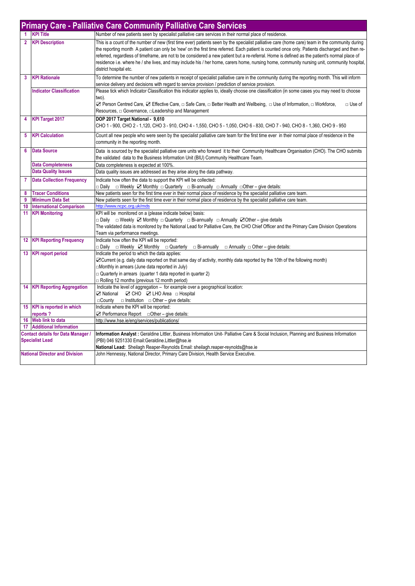|                | <b>Primary Care - Palliative Care Community Palliative Care Services</b> |                                                                                                                                                                                                                                                                                                                                                                                                                                                                                                                                                                                                                              |  |
|----------------|--------------------------------------------------------------------------|------------------------------------------------------------------------------------------------------------------------------------------------------------------------------------------------------------------------------------------------------------------------------------------------------------------------------------------------------------------------------------------------------------------------------------------------------------------------------------------------------------------------------------------------------------------------------------------------------------------------------|--|
|                | <b>KPI Title</b>                                                         | Number of new patients seen by specialist palliative care services in their normal place of residence.                                                                                                                                                                                                                                                                                                                                                                                                                                                                                                                       |  |
| $\overline{2}$ | <b>KPI Description</b>                                                   | This is a count of the number of new (first time ever) patients seen by the specialist palliative care (home care) team in the community during<br>the reporting month A patient can only be 'new' on the first time referred. Each patient is counted once only. Patients discharged and then re-<br>referred, regardless of timeframe, are not to be considered a new patient but a re-referral. Home is defined as the patient's normal place of<br>residence i.e. where he / she lives, and may include his / her home, carers home, nursing home, community nursing unit, community hospital,<br>district hospital etc. |  |
| 3              | <b>KPI Rationale</b>                                                     | To determine the number of new patients in receipt of specialist palliative care in the community during the reporting month. This will inform<br>service delivery and decisions with regard to service provision / prediction of service provision.                                                                                                                                                                                                                                                                                                                                                                         |  |
|                | <b>Indicator Classification</b>                                          | Please tick which Indicator Classification this indicator applies to, ideally choose one classification (in some cases you may need to choose<br>two).<br><b>⊠</b> Person Centred Care, ⊠ Effective Care, □ Safe Care, □ Better Health and Wellbeing, □ Use of Information, □ Workforce,<br>$\Box$ Use of<br>Resources, □ Governance, □Leadership and Management                                                                                                                                                                                                                                                             |  |
| 4              | <b>KPI Target 2017</b>                                                   | DOP 2017 Target National - 9,610<br>CHO 1 - 900, CHO 2 - 1,120, CHO 3 - 910, CHO 4 - 1,550, CHO 5 - 1,050, CHO 6 - 830, CHO 7 - 940, CHO 8 - 1,360, CHO 9 - 950                                                                                                                                                                                                                                                                                                                                                                                                                                                              |  |
| 5              | <b>KPI Calculation</b>                                                   | Count all new people who were seen by the specialist palliative care team for the first time ever in their normal place of residence in the<br>community in the reporting month.                                                                                                                                                                                                                                                                                                                                                                                                                                             |  |
| 6              | <b>Data Source</b>                                                       | Data is sourced by the specialist palliative care units who forward it to their Community Healthcare Organisation (CHO). The CHO submits<br>the validated data to the Business Information Unit (BIU) Community Healthcare Team.                                                                                                                                                                                                                                                                                                                                                                                             |  |
|                | <b>Data Completeness</b>                                                 | Data completeness is expected at 100%.                                                                                                                                                                                                                                                                                                                                                                                                                                                                                                                                                                                       |  |
|                | <b>Data Quality Issues</b>                                               | Data quality issues are addressed as they arise along the data pathway.                                                                                                                                                                                                                                                                                                                                                                                                                                                                                                                                                      |  |
| $\overline{7}$ | <b>Data Collection Frequency</b>                                         | Indicate how often the data to support the KPI will be collected:<br>□ Daily □ Weekly ☑ Monthly □ Quarterly □ Bi-annually □ Annually □ Other – give details:                                                                                                                                                                                                                                                                                                                                                                                                                                                                 |  |
| 8              | <b>Tracer Conditions</b>                                                 | New patients seen for the first time ever in their normal place of residence by the specialist palliative care team.                                                                                                                                                                                                                                                                                                                                                                                                                                                                                                         |  |
| 9              | <b>Minimum Data Set</b>                                                  | New patients seen for the first time ever in their normal place of residence by the specialist palliative care team.                                                                                                                                                                                                                                                                                                                                                                                                                                                                                                         |  |
| 10             | <b>International Comparison</b>                                          | http://www.ncpc.org.uk/mds                                                                                                                                                                                                                                                                                                                                                                                                                                                                                                                                                                                                   |  |
| 11             | <b>KPI Monitoring</b>                                                    | KPI will be monitored on a (please indicate below) basis:<br>□ Daily □ Weekly ☑ Monthly □ Quarterly □ Bi-annually □ Annually ☑ Other – give details<br>The validated data is monitored by the National Lead for Palliative Care, the CHO Chief Officer and the Primary Care Division Operations<br>Team via performance meetings.                                                                                                                                                                                                                                                                                            |  |
|                | <b>12 KPI Reporting Frequency</b>                                        | Indicate how often the KPI will be reported:<br>□ Daily □ Weekly ☑ Monthly □ Quarterly □ Bi-annually □ Annually □ Other – give details:                                                                                                                                                                                                                                                                                                                                                                                                                                                                                      |  |
| 13             | <b>KPI report period</b>                                                 | Indicate the period to which the data applies:<br>⊠ Current (e.g. daily data reported on that same day of activity, monthly data reported by the 10th of the following month)<br>Monthly in arrears (June data reported in July)<br>$\Box$ Quarterly in arrears (quarter 1 data reported in quarter 2)<br>$\Box$ Rolling 12 months (previous 12 month period)                                                                                                                                                                                                                                                                |  |
|                | <b>14 KPI Reporting Aggregation</b>                                      | Indicate the level of aggregation - for example over a geographical location:<br>⊠ National ⊠ CHO ⊠ LHO Area □ Hospital<br>$\Box$ County $\Box$ Institution $\Box$ Other – give details:                                                                                                                                                                                                                                                                                                                                                                                                                                     |  |
|                | 15 KPI is reported in which                                              | Indicate where the KPI will be reported:                                                                                                                                                                                                                                                                                                                                                                                                                                                                                                                                                                                     |  |
|                | reports?                                                                 | $\Box$ Performance Report $\Box$ Other – give details:                                                                                                                                                                                                                                                                                                                                                                                                                                                                                                                                                                       |  |
|                | 16 Web link to data                                                      | http://www.hse.ie/eng/services/publications/                                                                                                                                                                                                                                                                                                                                                                                                                                                                                                                                                                                 |  |
|                | 17 Additional Information                                                |                                                                                                                                                                                                                                                                                                                                                                                                                                                                                                                                                                                                                              |  |
|                | <b>Contact details for Data Manager /</b><br><b>Specialist Lead</b>      | Information Analyst: Geraldine Littler, Business Information Unit- Palliative Care & Social Inclusion, Planning and Business Information<br>(PBI) 046 9251330 Email:Geraldine.Littler@hse.ie<br>National Lead: Sheilagh Reaper-Reynolds Email: sheilagh.reaper-reynolds@hse.ie                                                                                                                                                                                                                                                                                                                                               |  |
|                | <b>National Director and Division</b>                                    | John Hennessy, National Director, Primary Care Division, Health Service Executive.                                                                                                                                                                                                                                                                                                                                                                                                                                                                                                                                           |  |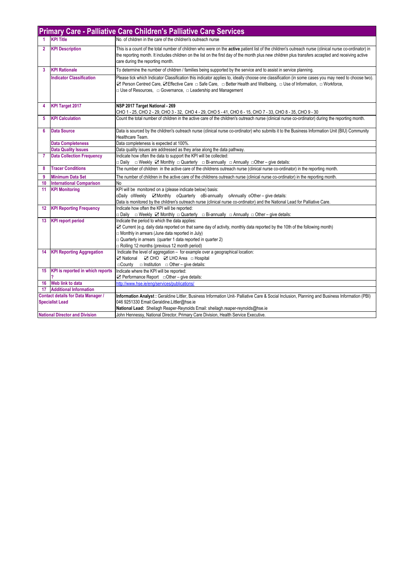|                                                                     | <b>Primary Care - Palliative Care Children's Palliative Care Services</b> |                                                                                                                                                                                                                                                                                                                                                                  |  |
|---------------------------------------------------------------------|---------------------------------------------------------------------------|------------------------------------------------------------------------------------------------------------------------------------------------------------------------------------------------------------------------------------------------------------------------------------------------------------------------------------------------------------------|--|
| 1                                                                   | <b>KPI Title</b>                                                          | No, of children in the care of the children's outreach nurse                                                                                                                                                                                                                                                                                                     |  |
| $\mathbf{2}$                                                        | <b>KPI Description</b>                                                    | This is a count of the total number of children who were on the active patient list of the children's outreach nurse (clinical nurse co-ordinator) in<br>the reporting month. It includes children on the list on the first day of the month plus new children plus transfers accepted and receiving active<br>care during the reporting month.                  |  |
| 3                                                                   | <b>KPI Rationale</b>                                                      | To determine the number of children / families being supported by the service and to assist in service planning.                                                                                                                                                                                                                                                 |  |
|                                                                     | <b>Indicator Classification</b>                                           | Please tick which Indicator Classification this indicator applies to, ideally choose one classification (in some cases you may need to choose two).<br>⊠ Person Centred Care, ⊠ Effective Care  □ Safe Care,  □ Better Health and Wellbeing,  □ Use of Information, □ Workforce,<br>$\Box$ Use of Resources, $\Box$ Governance, $\Box$ Leadership and Management |  |
| 4                                                                   | <b>KPI Target 2017</b>                                                    | NSP 2017 Target National - 269<br>CHO 1 - 25, CHO 2 - 29, CHO 3 - 32, CHO 4 - 29, CHO 5 - 41, CHO 6 - 15, CHO 7 - 33, CHO 8 - 35, CHO 9 - 30                                                                                                                                                                                                                     |  |
| 5                                                                   | <b>KPI Calculation</b>                                                    | Count the total number of children in the active care of the children's outreach nurse (clinical nurse co-ordinator) during the reporting month.                                                                                                                                                                                                                 |  |
| 6                                                                   | <b>Data Source</b>                                                        | Data is sourced by the children's outreach nurse (clinical nurse co-ordinator) who submits it to the Business Information Unit (BIU) Community<br>Healthcare Team.                                                                                                                                                                                               |  |
|                                                                     | <b>Data Completeness</b>                                                  | Data completeness is expected at 100%.                                                                                                                                                                                                                                                                                                                           |  |
|                                                                     | <b>Data Quality Issues</b>                                                | Data quality issues are addressed as they arise along the data pathway.                                                                                                                                                                                                                                                                                          |  |
| $\overline{7}$                                                      | <b>Data Collection Frequency</b>                                          | Indicate how often the data to support the KPI will be collected:<br>□ Daily □ Weekly ☑ Monthly □ Quarterly □ Bi-annually □ Annually □ Other – give details:                                                                                                                                                                                                     |  |
| 8                                                                   | <b>Tracer Conditions</b>                                                  | The number of children in the active care of the childrens outreach nurse (clinical nurse co-ordinator) in the reporting month.                                                                                                                                                                                                                                  |  |
| 9                                                                   | <b>Minimum Data Set</b>                                                   | The number of children in the active care of the childrens outreach nurse (clinical nurse co-ordinator) in the reporting month.                                                                                                                                                                                                                                  |  |
| 10                                                                  | <b>International Comparison</b>                                           | N <sub>o</sub>                                                                                                                                                                                                                                                                                                                                                   |  |
| 11                                                                  | <b>KPI Monitoring</b>                                                     | KPI will be monitored on a (please indicate below) basis:<br>oDaily oWeekly <b>⊠Monthly oQuarterly oBi-annually oAnnually oOther</b> – give details:<br>Data is monitored by the children's outreach nurse (clinical nurse co-ordinator) and the National Lead for Palliative Care.                                                                              |  |
| 12 <sup>°</sup>                                                     | <b>KPI Reporting Frequency</b>                                            | Indicate how often the KPI will be reported:<br>$\Box$ Daily $\Box$ Weekly $\Box$ Monthly $\Box$ Quarterly $\Box$ Bi-annually $\Box$ Annually $\Box$ Other – give details:                                                                                                                                                                                       |  |
| 13 <sup>°</sup>                                                     | <b>KPI</b> report period                                                  | Indicate the period to which the data applies:<br>☑ Current (e.g. daily data reported on that same day of activity, monthly data reported by the 10th of the following month)<br>Monthly in arrears (June data reported in July)<br>$\Box$ Quarterly in arrears (quarter 1 data reported in quarter 2)<br>Rolling 12 months (previous 12 month period)           |  |
| 14                                                                  | <b>KPI Reporting Aggregation</b>                                          | Indicate the level of aggregation - for example over a geographical location:<br>☑ National ☑ CHO ☑ LHO Area □ Hospital<br>$\Box$ County $\Box$ Institution $\Box$ Other – give details:                                                                                                                                                                         |  |
|                                                                     | 15 KPI is reported in which reports                                       | Indicate where the KPI will be reported:                                                                                                                                                                                                                                                                                                                         |  |
|                                                                     |                                                                           | $\boxtimes$ Performance Report $\Box$ Other – give details:                                                                                                                                                                                                                                                                                                      |  |
| 16                                                                  | Web link to data                                                          | http://www.hse.ie/eng/services/publications/                                                                                                                                                                                                                                                                                                                     |  |
| 17                                                                  | <b>Additional Information</b>                                             |                                                                                                                                                                                                                                                                                                                                                                  |  |
| <b>Contact details for Data Manager /</b><br><b>Specialist Lead</b> |                                                                           | Information Analyst: Geraldine Littler, Business Information Unit- Palliative Care & Social Inclusion, Planning and Business Information (PBI)<br>046 9251330 Email:Geraldine.Littler@hse.ie                                                                                                                                                                     |  |
|                                                                     |                                                                           | National Lead: Sheilagh Reaper-Reynolds Email: sheilagh.reaper-reynolds@hse.ie                                                                                                                                                                                                                                                                                   |  |
|                                                                     | <b>National Director and Division</b>                                     | John Hennessy, National Director, Primary Care Division, Health Service Executive.                                                                                                                                                                                                                                                                               |  |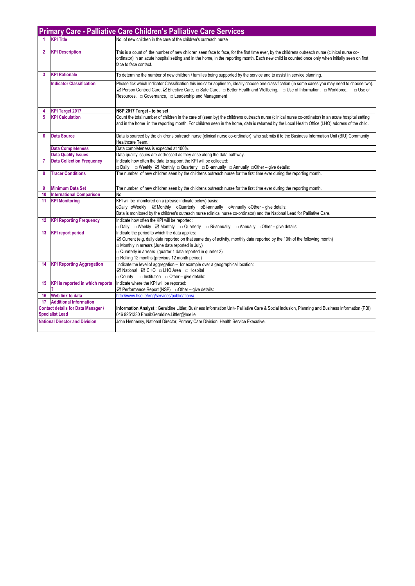|                      | <b>Primary Care - Palliative Care Children's Palliative Care Services</b> |                                                                                                                                                                                                                                                                                                                             |  |
|----------------------|---------------------------------------------------------------------------|-----------------------------------------------------------------------------------------------------------------------------------------------------------------------------------------------------------------------------------------------------------------------------------------------------------------------------|--|
| $\blacktriangleleft$ | <b>KPI Title</b>                                                          | No, of new children in the care of the children's outreach nurse                                                                                                                                                                                                                                                            |  |
| $\overline{2}$       | <b>KPI Description</b>                                                    | This is a count of the number of new children seen face to face, for the first time ever, by the childrens outreach nurse (clinical nurse co-<br>ordinator) in an acute hospital setting and in the home, in the reporting month. Each new child is counted once only when initially seen on first<br>face to face contact. |  |
| 3                    | <b>KPI Rationale</b>                                                      | To determine the number of new children / families being supported by the service and to assist in service planning.                                                                                                                                                                                                        |  |
|                      | <b>Indicator Classification</b>                                           | Please tick which Indicator Classification this indicator applies to, ideally choose one classification (in some cases you may need to choose two).<br>☑ Person Centred Care, ØEffective Care, □ Safe Care, □ Better Health and Wellbeing, □ Use of Information, □ Workforce,<br>$\Box$ Use of                              |  |
| 4                    | <b>KPI Target 2017</b>                                                    | NSP 2017 Target - to be set                                                                                                                                                                                                                                                                                                 |  |
| 5                    | <b>KPI Calculation</b>                                                    | Count the total number of children in the care of (seen by) the childrens outreach nurse (clinical nurse co-ordinator) in an acute hospital setting<br>and in the home in the reporting month. For children seen in the home, data is returned by the Local Health Office (LHO) address of the child.                       |  |
| 6                    | <b>Data Source</b>                                                        | Data is sourced by the childrens outreach nurse (clinical nurse co-ordinator) who submits it to the Business Information Unit (BIU) Community<br>Healthcare Team.                                                                                                                                                           |  |
|                      | <b>Data Completeness</b>                                                  | Data completeness is expected at 100%.                                                                                                                                                                                                                                                                                      |  |
|                      | <b>Data Quality Issues</b>                                                | Data quality issues are addressed as they arise along the data pathway.                                                                                                                                                                                                                                                     |  |
| $\overline{7}$       | <b>Data Collection Frequency</b>                                          | Indicate how often the data to support the KPI will be collected:<br>□ Daily □ Weekly ☑ Monthly □ Quarterly □ Bi-annually □ Annually □ Other – give details:                                                                                                                                                                |  |
| 8                    | <b>Tracer Conditions</b>                                                  | The number of new children seen by the childrens outreach nurse for the first time ever during the reporting month.                                                                                                                                                                                                         |  |
| 9                    | <b>Minimum Data Set</b>                                                   | The number of new children seen by the childrens outreach nurse for the first time ever during the reporting month.                                                                                                                                                                                                         |  |
| 10                   | <b>International Comparison</b>                                           | No                                                                                                                                                                                                                                                                                                                          |  |
| 11                   | <b>KPI Monitoring</b>                                                     | KPI will be monitored on a (please indicate below) basis:                                                                                                                                                                                                                                                                   |  |
|                      |                                                                           | oDaily oWeekly <b>⊠Monthly oQuarterly oBi-annually oAnnually oOther</b> – give details:                                                                                                                                                                                                                                     |  |
|                      |                                                                           | Data is monitored by the children's outreach nurse (clinical nurse co-ordinator) and the National Lead for Palliative Care.                                                                                                                                                                                                 |  |
| 12                   | <b>KPI Reporting Frequency</b>                                            | Indicate how often the KPI will be reported:<br>□ Daily □ Weekly ☑ Monthly □ Quarterly □ Bi-annually<br>$\Box$ Annually $\Box$ Other – give details:                                                                                                                                                                        |  |
| 13                   | <b>KPI report period</b>                                                  | Indicate the period to which the data applies:                                                                                                                                                                                                                                                                              |  |
|                      |                                                                           | ☑ Current (e.g. daily data reported on that same day of activity, monthly data reported by the 10th of the following month)                                                                                                                                                                                                 |  |
|                      |                                                                           | □ Monthly in arrears (June data reported in July)                                                                                                                                                                                                                                                                           |  |
|                      |                                                                           | $\Box$ Quarterly in arrears (quarter 1 data reported in quarter 2)                                                                                                                                                                                                                                                          |  |
|                      |                                                                           | $\Box$ Rolling 12 months (previous 12 month period)                                                                                                                                                                                                                                                                         |  |
| 14                   | <b>KPI Reporting Aggregation</b>                                          | Indicate the level of aggregation - for example over a geographical location:                                                                                                                                                                                                                                               |  |
|                      |                                                                           | $\Box$ County $\Box$ Institution $\Box$ Other – give details:                                                                                                                                                                                                                                                               |  |
|                      | 15 KPI is reported in which reports                                       | Indicate where the KPI will be reported:                                                                                                                                                                                                                                                                                    |  |
|                      | 2                                                                         | □ Performance Report (NSP) □ Other - give details:                                                                                                                                                                                                                                                                          |  |
| 16                   | Web link to data                                                          | http://www.hse.ie/eng/services/publications/                                                                                                                                                                                                                                                                                |  |
|                      | 17 Additional Information                                                 |                                                                                                                                                                                                                                                                                                                             |  |
|                      | <b>Contact details for Data Manager /</b>                                 | Information Analyst: Geraldine Littler, Business Information Unit- Palliative Care & Social Inclusion, Planning and Business Information (PBI)                                                                                                                                                                              |  |
|                      | <b>Specialist Lead</b>                                                    | 046 9251330 Email: Geraldine. Littler@hse.ie                                                                                                                                                                                                                                                                                |  |
|                      | <b>National Director and Division</b>                                     | John Hennessy, National Director, Primary Care Division, Health Service Executive.                                                                                                                                                                                                                                          |  |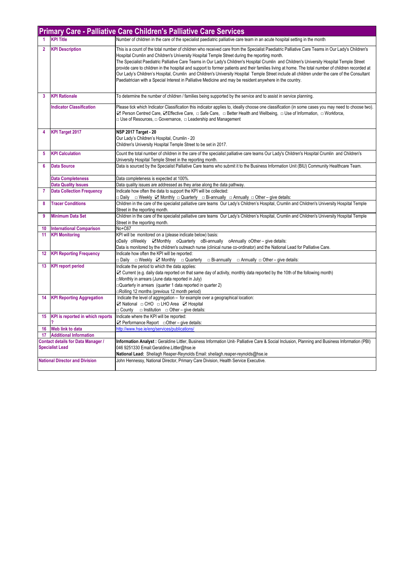|                         | Primary Care - Palliative Care Children's Palliative Care Services |                                                                                                                                                                                                                                                                                                                                                                                                                                                                                                                                                                                                                                                                                                                                                                                                                      |  |
|-------------------------|--------------------------------------------------------------------|----------------------------------------------------------------------------------------------------------------------------------------------------------------------------------------------------------------------------------------------------------------------------------------------------------------------------------------------------------------------------------------------------------------------------------------------------------------------------------------------------------------------------------------------------------------------------------------------------------------------------------------------------------------------------------------------------------------------------------------------------------------------------------------------------------------------|--|
| $\blacktriangleleft$    | <b>KPI Title</b>                                                   | Number of children in the care of the specialist paediatric palliative care team in an acute hospital setting in the month                                                                                                                                                                                                                                                                                                                                                                                                                                                                                                                                                                                                                                                                                           |  |
| $\overline{2}$          | <b>KPI Description</b>                                             | This is a count of the total number of children who received care from the Specialist Paediatric Palliative Care Teams in Our Lady's Children's<br>Hospital Crumlin and Children's University Hospital Temple Street during the reporting month.<br>The Specialist Paediatric Palliative Care Teams in Our Lady's Children's Hospital Crumlin and Children's University Hospital Temple Street<br>provide care to children in the hospital and support to former patients and their families living at home. The total number of children recorded at<br>Our Lady's Children's Hospital, Crumlin and Children's University Hospital Temple Street include all children under the care of the Consultant<br>Paediatrician with a Special Interest in Palliative Medicine and may be resident anywhere in the country. |  |
| $\overline{\mathbf{3}}$ | <b>KPI Rationale</b>                                               | To determine the number of children / families being supported by the service and to assist in service planning.                                                                                                                                                                                                                                                                                                                                                                                                                                                                                                                                                                                                                                                                                                     |  |
|                         | <b>Indicator Classification</b>                                    | Please tick which Indicator Classification this indicator applies to, ideally choose one classification (in some cases you may need to choose two).<br><b>Z</b> Person Centred Care, <b>Z</b> Effective Care, □ Safe Care, □ Better Health and Wellbeing, □ Use of Information, □ Workforce,<br>$\Box$ Use of Resources, $\Box$ Governance, $\Box$ Leadership and Management                                                                                                                                                                                                                                                                                                                                                                                                                                         |  |
| $\overline{\mathbf{4}}$ | <b>KPI Target 2017</b>                                             | <b>NSP 2017 Target - 20</b><br>Our Lady's Children's Hospital, Crumlin - 20<br>Children's University Hospital Temple Street to be set in 2017.                                                                                                                                                                                                                                                                                                                                                                                                                                                                                                                                                                                                                                                                       |  |
| 5                       | <b>KPI Calculation</b>                                             | Count the total number of children in the care of the specialist palliative care teams Our Lady's Children's Hospital Crumlin and Children's<br>University Hospital Temple Street in the reporting month.                                                                                                                                                                                                                                                                                                                                                                                                                                                                                                                                                                                                            |  |
| 6                       | <b>Data Source</b>                                                 | Data is sourced by the Specialist Palliative Care teams who submit it to the Business Information Unit (BIU) Community Healthcare Team.                                                                                                                                                                                                                                                                                                                                                                                                                                                                                                                                                                                                                                                                              |  |
|                         | <b>Data Completeness</b>                                           | Data completeness is expected at 100%.                                                                                                                                                                                                                                                                                                                                                                                                                                                                                                                                                                                                                                                                                                                                                                               |  |
|                         | <b>Data Quality Issues</b>                                         | Data quality issues are addressed as they arise along the data pathway.                                                                                                                                                                                                                                                                                                                                                                                                                                                                                                                                                                                                                                                                                                                                              |  |
| $\overline{7}$          | <b>Data Collection Frequency</b>                                   | Indicate how often the data to support the KPI will be collected:<br><b> <math>\Box</math> Daily <math>\Box</math> Weekly <math>\Box</math> Monthly <math>\Box</math> Quarterly <math>\Box</math> Bi-annually <math>\Box</math> Annually <math>\Box</math> Other – give details:</b>                                                                                                                                                                                                                                                                                                                                                                                                                                                                                                                                 |  |
| 8                       | <b>Tracer Conditions</b>                                           | Children in the care of the specialist palliative care teams Our Lady's Children's Hospital, Crumlin and Children's University Hospital Temple<br>Street in the reporting month.                                                                                                                                                                                                                                                                                                                                                                                                                                                                                                                                                                                                                                     |  |
| 9                       | <b>Minimum Data Set</b>                                            | Children in the care of the specialist palliative care teams Our Lady's Children's Hospital, Crumlin and Children's University Hospital Temple<br>Street in the reporting month.                                                                                                                                                                                                                                                                                                                                                                                                                                                                                                                                                                                                                                     |  |
| 10                      | <b>International Comparison</b>                                    | No+C67                                                                                                                                                                                                                                                                                                                                                                                                                                                                                                                                                                                                                                                                                                                                                                                                               |  |
| 11                      | <b>KPI Monitoring</b>                                              | KPI will be monitored on a (please indicate below) basis:<br>oDaily oWeekly ⊠Monthly oQuarterly oBi-annually oAnnually oOther - give details:<br>Data is monitored by the children's outreach nurse (clinical nurse co-ordinator) and the National Lead for Palliative Care.                                                                                                                                                                                                                                                                                                                                                                                                                                                                                                                                         |  |
| 12                      | <b>KPI Reporting Frequency</b>                                     | Indicate how often the KPI will be reported:<br>$\Box$ Daily $\Box$ Weekly $\Box$ Monthly $\Box$ Quarterly $\Box$ Bi-annually $\Box$ Annually $\Box$ Other – give details:                                                                                                                                                                                                                                                                                                                                                                                                                                                                                                                                                                                                                                           |  |
| 13                      | <b>KPI report period</b>                                           | Indicate the period to which the data applies:<br>☑ Current (e.g. daily data reported on that same day of activity, monthly data reported by the 10th of the following month)<br>Monthly in arrears (June data reported in July)<br>□Quarterly in arrears (quarter 1 data reported in quarter 2)<br>Rolling 12 months (previous 12 month period)                                                                                                                                                                                                                                                                                                                                                                                                                                                                     |  |
| 14                      | <b>KPI Reporting Aggregation</b>                                   | Indicate the level of aggregation - for example over a geographical location:<br>⊠ National □ CHO □ LHO Area ☑ Hospital<br>$\Box$ County $\Box$ Institution $\Box$ Other – give details:                                                                                                                                                                                                                                                                                                                                                                                                                                                                                                                                                                                                                             |  |
| 15 <sub>15</sub>        | <b>KPI</b> is reported in which reports                            | Indicate where the KPI will be reported:<br>$\Box$ Performance Report $\Box$ Other – give details:                                                                                                                                                                                                                                                                                                                                                                                                                                                                                                                                                                                                                                                                                                                   |  |
| 16                      | Web link to data                                                   | http://www.hse.ie/eng/services/publications/                                                                                                                                                                                                                                                                                                                                                                                                                                                                                                                                                                                                                                                                                                                                                                         |  |
|                         | 17 Additional Information                                          |                                                                                                                                                                                                                                                                                                                                                                                                                                                                                                                                                                                                                                                                                                                                                                                                                      |  |
|                         | <b>Contact details for Data Manager /</b>                          | Information Analyst: Geraldine Littler, Business Information Unit- Palliative Care & Social Inclusion, Planning and Business Information (PBI)                                                                                                                                                                                                                                                                                                                                                                                                                                                                                                                                                                                                                                                                       |  |
|                         | <b>Specialist Lead</b>                                             | 046 9251330 Email:Geraldine.Littler@hse.ie<br>National Lead: Sheilagh Reaper-Reynolds Email: sheilagh.reaper-reynolds@hse.ie                                                                                                                                                                                                                                                                                                                                                                                                                                                                                                                                                                                                                                                                                         |  |
|                         | <b>National Director and Division</b>                              | John Hennessy, National Director, Primary Care Division, Health Service Executive.                                                                                                                                                                                                                                                                                                                                                                                                                                                                                                                                                                                                                                                                                                                                   |  |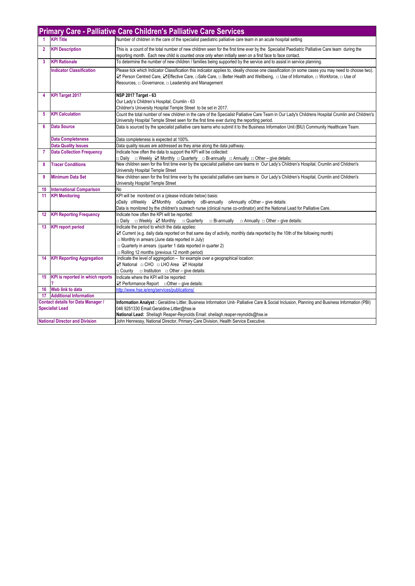|                         | <b>Primary Care - Palliative Care Children's Palliative Care Services</b> |                                                                                                                                                                                                                                                                                                                                                          |  |  |
|-------------------------|---------------------------------------------------------------------------|----------------------------------------------------------------------------------------------------------------------------------------------------------------------------------------------------------------------------------------------------------------------------------------------------------------------------------------------------------|--|--|
|                         | <b>KPI Title</b>                                                          | Number of children in the care of the specialist paediatric palliative care team in an acute hospital setting                                                                                                                                                                                                                                            |  |  |
| $\mathbf{2}$            | <b>KPI Description</b>                                                    | This is a count of the total number of new children seen for the first time ever by the Specialist Paediatric Palliative Care team during the<br>reporting month. Each new child is counted once only when initially seen on a first face to face contact.                                                                                               |  |  |
| $\overline{\mathbf{3}}$ | <b>KPI Rationale</b>                                                      | To determine the number of new children / families being supported by the service and to assist in service planning.                                                                                                                                                                                                                                     |  |  |
|                         | <b>Indicator Classification</b>                                           | Please tick which Indicator Classification this indicator applies to, ideally choose one classification (in some cases you may need to choose two).<br>⊠ Person Centred Care, ⊠ Effective Care, □Safe Care, □ Better Health and Wellbeing, □ Use of Information, □ Workforce, □ Use of<br>Resources, $\Box$ Governance, $\Box$ Leadership and Management |  |  |
| 4                       | <b>KPI Target 2017</b>                                                    | NSP 2017 Target - 63<br>Our Lady's Children's Hospital, Crumlin - 63<br>Children's University Hospital Temple Street to be set in 2017.                                                                                                                                                                                                                  |  |  |
| 5                       | <b>KPI Calculation</b>                                                    | Count the total number of new children in the care of the Specialist Palliative Care Team in Our Lady's Childrens Hospital Crumlin and Children's<br>University Hospital Temple Street seen for the first time ever during the reporting period.                                                                                                         |  |  |
| 6                       | <b>Data Source</b>                                                        | Data is sourced by the specialist palliative care teams who submit it to the Business Information Unit (BIU) Community Healthcare Team.                                                                                                                                                                                                                  |  |  |
|                         | <b>Data Completeness</b>                                                  | Data completeness is expected at 100%.                                                                                                                                                                                                                                                                                                                   |  |  |
|                         | <b>Data Quality Issues</b>                                                | Data quality issues are addressed as they arise along the data pathway.                                                                                                                                                                                                                                                                                  |  |  |
| $\overline{7}$          | <b>Data Collection Frequency</b>                                          | Indicate how often the data to support the KPI will be collected:<br><b>Daily</b> a Weekly <b>Ø</b> Monthly a Quarterly a Bi-annually a Annually a Other – give details:                                                                                                                                                                                 |  |  |
| 8                       | <b>Tracer Conditions</b>                                                  | New children seen for the first time ever by the specialist palliative care teams in Our Lady's Children's Hospital, Crumlin and Children's                                                                                                                                                                                                              |  |  |
|                         |                                                                           | University Hospital Temple Street                                                                                                                                                                                                                                                                                                                        |  |  |
| 9                       | <b>Minimum Data Set</b>                                                   | New children seen for the first time ever by the specialist palliative care teams in Our Lady's Children's Hospital, Crumlin and Children's<br>University Hospital Temple Street                                                                                                                                                                         |  |  |
| 10                      | <b>International Comparison</b>                                           | No                                                                                                                                                                                                                                                                                                                                                       |  |  |
| 11                      | <b>KPI Monitoring</b>                                                     | KPI will be monitored on a (please indicate below) basis:                                                                                                                                                                                                                                                                                                |  |  |
|                         |                                                                           | oDaily oWeekly ☑Monthly oQuarterly oBi-annually oAnnually oOther-give details:                                                                                                                                                                                                                                                                           |  |  |
|                         |                                                                           | Data is monitored by the children's outreach nurse (clinical nurse co-ordinator) and the National Lead for Palliative Care.                                                                                                                                                                                                                              |  |  |
| 12                      | <b>KPI Reporting Frequency</b>                                            | Indicate how often the KPI will be reported:                                                                                                                                                                                                                                                                                                             |  |  |
|                         |                                                                           | □ Daily □ Weekly Z Monthly □ Quarterly<br>$\Box$ Bi-annually<br>$\Box$ Annually $\Box$ Other – give details:                                                                                                                                                                                                                                             |  |  |
| 13                      | <b>KPI</b> report period                                                  | Indicate the period to which the data applies:<br>☑ Current (e.g. daily data reported on that same day of activity, monthly data reported by the 10th of the following month)                                                                                                                                                                            |  |  |
|                         |                                                                           | □ Monthly in arrears (June data reported in July)                                                                                                                                                                                                                                                                                                        |  |  |
|                         |                                                                           | $\Box$ Quarterly in arrears (quarter 1 data reported in quarter 2)                                                                                                                                                                                                                                                                                       |  |  |
|                         |                                                                           | Rolling 12 months (previous 12 month period)                                                                                                                                                                                                                                                                                                             |  |  |
| 14                      | <b>KPI Reporting Aggregation</b>                                          | Indicate the level of aggregation - for example over a geographical location:                                                                                                                                                                                                                                                                            |  |  |
|                         |                                                                           | ⊠ National □ CHO □ LHO Area ⊠ Hospital                                                                                                                                                                                                                                                                                                                   |  |  |
|                         |                                                                           | $\Box$ County $\Box$ Institution $\Box$ Other – give details:                                                                                                                                                                                                                                                                                            |  |  |
|                         | 15 KPI is reported in which reports                                       | Indicate where the KPI will be reported:                                                                                                                                                                                                                                                                                                                 |  |  |
|                         |                                                                           | $\boxtimes$ Performance Report $\Box$ Other – give details:                                                                                                                                                                                                                                                                                              |  |  |
| 16                      | Web link to data                                                          | http://www.hse.ie/eng/services/publications/                                                                                                                                                                                                                                                                                                             |  |  |
| 17                      | <b>Additional Information</b>                                             |                                                                                                                                                                                                                                                                                                                                                          |  |  |
|                         | <b>Contact details for Data Manager /</b>                                 | Information Analyst : Geraldine Littler, Business Information Unit- Palliative Care & Social Inclusion, Planning and Business Information (PBI)                                                                                                                                                                                                          |  |  |
|                         | <b>Specialist Lead</b>                                                    | 046 9251330 Email: Geraldine. Littler@hse.ie                                                                                                                                                                                                                                                                                                             |  |  |
|                         |                                                                           | National Lead: Sheilagh Reaper-Reynolds Email: sheilagh.reaper-reynolds@hse.ie                                                                                                                                                                                                                                                                           |  |  |
|                         | <b>National Director and Division</b>                                     | John Hennessy, National Director, Primary Care Division, Health Service Executive.                                                                                                                                                                                                                                                                       |  |  |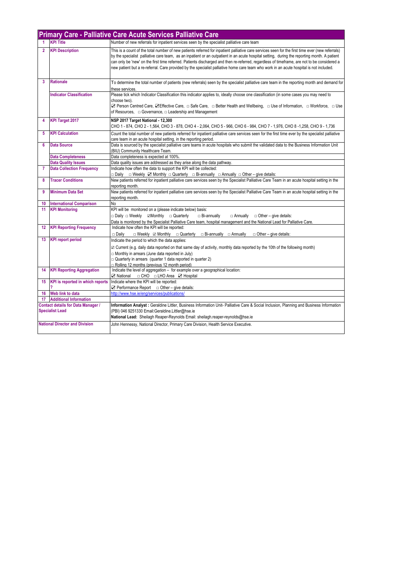|                                                                     | <b>Primary Care - Palliative Care Acute Services Palliative Care</b> |                                                                                                                                                                                                                                                                                                                                                                                                                                                                                                                                                                                            |  |
|---------------------------------------------------------------------|----------------------------------------------------------------------|--------------------------------------------------------------------------------------------------------------------------------------------------------------------------------------------------------------------------------------------------------------------------------------------------------------------------------------------------------------------------------------------------------------------------------------------------------------------------------------------------------------------------------------------------------------------------------------------|--|
|                                                                     | <b>KPI Title</b>                                                     | Number of new referrals for inpatient services seen by the specialist palliative care team                                                                                                                                                                                                                                                                                                                                                                                                                                                                                                 |  |
| $\overline{2}$                                                      | <b>KPI Description</b>                                               | This is a count of the total number of new patients referred for inpatient palliative care services seen for the first time ever (new referrals)<br>by the specialist palliative care team, as an inpatient or an outpatient in an acute hospital setting, during the reporting month. A patient<br>can only be 'new' on the first time referred. Patients discharged and then re-referred, regardless of timeframe, are not to be considered a<br>new patient but a re-referral. Care provided by the specialist palliative home care team who work in an acute hospital is not included. |  |
| 3                                                                   | <b>Rationale</b>                                                     | To determine the total number of patients (new referrals) seen by the specialist palliative care team in the reporting month and demand for<br>these services.                                                                                                                                                                                                                                                                                                                                                                                                                             |  |
|                                                                     | <b>Indicator Classification</b>                                      | Please tick which Indicator Classification this indicator applies to, ideally choose one classification (in some cases you may need to<br>choose two).<br><b>Z</b> Person Centred Care, <b>Z</b> Effective Care, □ Safe Care, □ Better Health and Wellbeing, □ Use of Information, □ Workforce, □ Use<br>of Resources, $\Box$ Governance, $\Box$ Leadership and Management                                                                                                                                                                                                                 |  |
| 4                                                                   | <b>KPI Target 2017</b>                                               | NSP 2017 Target National - 12,300<br>CHO 1 - 874, CHO 2 - 1,564, CHO 3 - 878, CHO 4 - 2,064, CHO 5 - 966, CHO 6 - 984, CHO 7 - 1,976, CHO 8 -1,258, CHO 9 - 1,736                                                                                                                                                                                                                                                                                                                                                                                                                          |  |
| 5                                                                   | <b>KPI Calculation</b>                                               | Count the total number of new patients referred for inpatient palliative care services seen for the first time ever by the specialist palliative<br>care team in an acute hospital setting, in the reporting period.                                                                                                                                                                                                                                                                                                                                                                       |  |
| 6                                                                   | <b>Data Source</b>                                                   | Data is sourced by the specialist palliative care teams in acute hospitals who submit the validated data to the Business Information Unit<br>(BIU) Community Healthcare Team.                                                                                                                                                                                                                                                                                                                                                                                                              |  |
|                                                                     | <b>Data Completeness</b>                                             | Data completeness is expected at 100%.                                                                                                                                                                                                                                                                                                                                                                                                                                                                                                                                                     |  |
|                                                                     | <b>Data Quality Issues</b>                                           | Data quality issues are addressed as they arise along the data pathway.                                                                                                                                                                                                                                                                                                                                                                                                                                                                                                                    |  |
| 7                                                                   | <b>Data Collection Frequency</b>                                     | Indicate how often the data to support the KPI will be collected:<br>□ Daily □ Weekly ☑ Monthly □ Quarterly □ Bi-annually □ Annually □ Other – give details:                                                                                                                                                                                                                                                                                                                                                                                                                               |  |
| 8                                                                   | <b>Tracer Conditions</b>                                             | New patients referred for inpatient palliative care services seen by the Specialist Palliative Care Team in an acute hospital setting in the<br>reporting month.                                                                                                                                                                                                                                                                                                                                                                                                                           |  |
| 9                                                                   | <b>Minimum Data Set</b>                                              | New patients referred for inpatient palliative care services seen by the Specialist Palliative Care Team in an acute hospital setting in the<br>reporting month.                                                                                                                                                                                                                                                                                                                                                                                                                           |  |
| 10                                                                  | <b>International Comparison</b>                                      | No                                                                                                                                                                                                                                                                                                                                                                                                                                                                                                                                                                                         |  |
| 11                                                                  | <b>KPI Monitoring</b>                                                | KPI will be monitored on a (please indicate below) basis:<br>$\Box$ Daily $\Box$ Weekly $\Box$ Monthly $\Box$ Quarterly<br>$\Box$ Bi-annually<br>$\Box$ Annually<br>$\Box$ Other – give details:<br>Data is monitored by the Specialist Palliative Care team, hospital management and the National Lead for Palliative Care.                                                                                                                                                                                                                                                               |  |
| $12 \,$                                                             | <b>KPI Reporting Frequency</b>                                       | Indicate how often the KPI will be reported:<br>$\Box$ Daily<br>$\Box$ Weekly $\Box$ Monthly $\Box$ Quarterly $\Box$ Bi-annually $\Box$ Annually<br>$\Box$ Other – give details:                                                                                                                                                                                                                                                                                                                                                                                                           |  |
| 13                                                                  | <b>KPI report period</b>                                             | Indicate the period to which the data applies:<br>$\boxtimes$ Current (e.g. daily data reported on that same day of activity, monthly data reported by the 10th of the following month)<br>$\Box$ Monthly in arrears (June data reported in July)<br>$\Box$ Quarterly in arrears (quarter 1 data reported in quarter 2)<br>Rolling 12 months (previous 12 month period)                                                                                                                                                                                                                    |  |
| 14                                                                  | <b>KPI Reporting Aggregation</b>                                     | Indicate the level of aggregation - for example over a geographical location:                                                                                                                                                                                                                                                                                                                                                                                                                                                                                                              |  |
| 15                                                                  | KPI is reported in which reports                                     | Indicate where the KPI will be reported:<br>$\Box$ Performance Report $\Box$ Other – give details:                                                                                                                                                                                                                                                                                                                                                                                                                                                                                         |  |
| 16                                                                  | Web link to data                                                     | http://www.hse.je/eng/services/publications/                                                                                                                                                                                                                                                                                                                                                                                                                                                                                                                                               |  |
| 17                                                                  | <b>Additional Information</b>                                        |                                                                                                                                                                                                                                                                                                                                                                                                                                                                                                                                                                                            |  |
| <b>Contact details for Data Manager /</b><br><b>Specialist Lead</b> |                                                                      | Information Analyst: Geraldine Littler, Business Information Unit- Palliative Care & Social Inclusion, Planning and Business Information<br>(PBI) 046 9251330 Email:Geraldine.Littler@hse.ie<br>National Lead: Sheilagh Reaper-Reynolds Email: sheilagh.reaper-reynolds@hse.ie                                                                                                                                                                                                                                                                                                             |  |
| <b>National Director and Division</b>                               |                                                                      | John Hennessy, National Director, Primary Care Division, Health Service Executive.                                                                                                                                                                                                                                                                                                                                                                                                                                                                                                         |  |